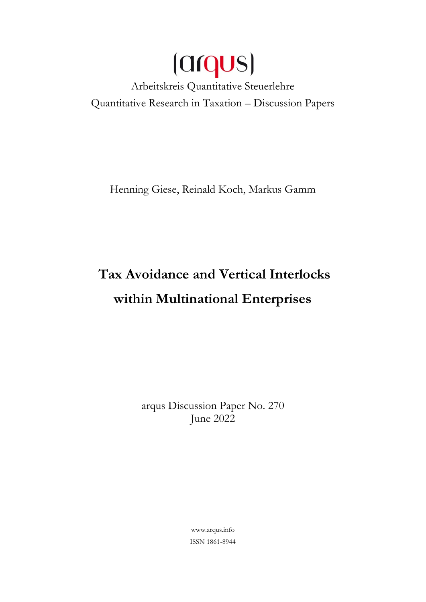

Quantitative Research in Taxation – Discussion Papers

Henning Giese, Reinald Koch, Markus Gamm

# **Tax Avoidance and Vertical Interlocks within Multinational Enterprises**

arqus Discussion Paper No. 270 June 2022

> [www.arqus.info](http://www.arqus.info/) ISSN 1861-8944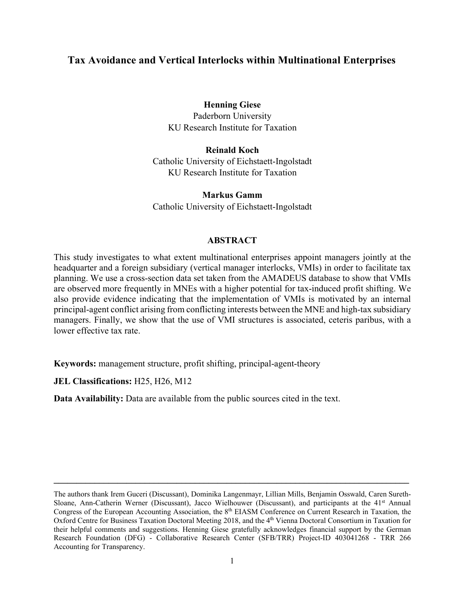# **Tax Avoidance and Vertical Interlocks within Multinational Enterprises**

# **Henning Giese**

Paderborn University KU Research Institute for Taxation

**Reinald Koch** Catholic University of Eichstaett-Ingolstadt KU Research Institute for Taxation

**Markus Gamm** Catholic University of Eichstaett-Ingolstadt

# **ABSTRACT**

This study investigates to what extent multinational enterprises appoint managers jointly at the headquarter and a foreign subsidiary (vertical manager interlocks, VMIs) in order to facilitate tax planning. We use a cross-section data set taken from the AMADEUS database to show that VMIs are observed more frequently in MNEs with a higher potential for tax-induced profit shifting. We also provide evidence indicating that the implementation of VMIs is motivated by an internal principal-agent conflict arising from conflicting interests between the MNE and high-tax subsidiary managers. Finally, we show that the use of VMI structures is associated, ceteris paribus, with a lower effective tax rate.

**Keywords:** management structure, profit shifting, principal-agent-theory

**JEL Classifications:** H25, H26, M12

**Data Availability:** Data are available from the public sources cited in the text.

**\_\_\_\_\_\_\_\_\_\_\_\_\_\_\_\_\_\_\_\_\_\_\_\_\_\_\_\_\_\_\_\_\_\_\_\_\_\_\_\_\_\_\_\_\_\_\_\_\_\_\_\_\_\_\_\_\_\_\_\_\_\_\_\_\_\_\_\_\_\_\_\_\_\_\_\_\_\_**

The authors thank Irem Guceri (Discussant), Dominika Langenmayr, Lillian Mills, Benjamin Osswald, Caren Sureth-Sloane, Ann-Catherin Werner (Discussant), Jacco Wielhouwer (Discussant), and participants at the 41<sup>st</sup> Annual Congress of the European Accounting Association, the 8<sup>th</sup> EIASM Conference on Current Research in Taxation, the Oxford Centre for Business Taxation Doctoral Meeting 2018, and the 4th Vienna Doctoral Consortium in Taxation for their helpful comments and suggestions. Henning Giese gratefully acknowledges financial support by the German Research Foundation (DFG) - Collaborative Research Center (SFB/TRR) Project-ID 403041268 - TRR 266 Accounting for Transparency.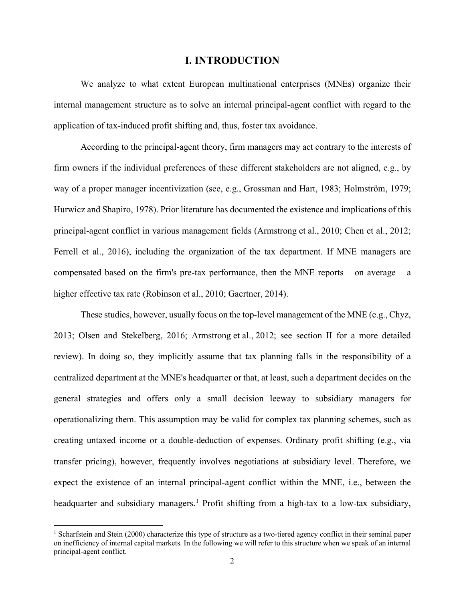## **I. INTRODUCTION**

We analyze to what extent European multinational enterprises (MNEs) organize their internal management structure as to solve an internal principal-agent conflict with regard to the application of tax-induced profit shifting and, thus, foster tax avoidance.

According to the principal-agent theory, firm managers may act contrary to the interests of firm owners if the individual preferences of these different stakeholders are not aligned, e.g., by way of a proper manager incentivization (see, e.g., Grossman and Hart, 1983; Holmström, 1979; Hurwicz and Shapiro, 1978). Prior literature has documented the existence and implications of this principal-agent conflict in various management fields (Armstrong et al., 2010; Chen et al., 2012; Ferrell et al., 2016), including the organization of the tax department. If MNE managers are compensated based on the firm's pre-tax performance, then the MNE reports – on average  $- a$ higher effective tax rate (Robinson et al., 2010; Gaertner, 2014).

These studies, however, usually focus on the top-level management of the MNE (e.g., Chyz, 2013; Olsen and Stekelberg, 2016; Armstrong et al., 2012; see section II for a more detailed review). In doing so, they implicitly assume that tax planning falls in the responsibility of a centralized department at the MNE's headquarter or that, at least, such a department decides on the general strategies and offers only a small decision leeway to subsidiary managers for operationalizing them. This assumption may be valid for complex tax planning schemes, such as creating untaxed income or a double-deduction of expenses. Ordinary profit shifting (e.g., via transfer pricing), however, frequently involves negotiations at subsidiary level. Therefore, we expect the existence of an internal principal-agent conflict within the MNE, i.e., between the headquarter and subsidiary managers.<sup>[1](#page-2-0)</sup> Profit shifting from a high-tax to a low-tax subsidiary,

<span id="page-2-0"></span><sup>&</sup>lt;sup>1</sup> Scharfstein and Stein (2000) characterize this type of structure as a two-tiered agency conflict in their seminal paper on inefficiency of internal capital markets. In the following we will refer to this structure when we speak of an internal principal-agent conflict.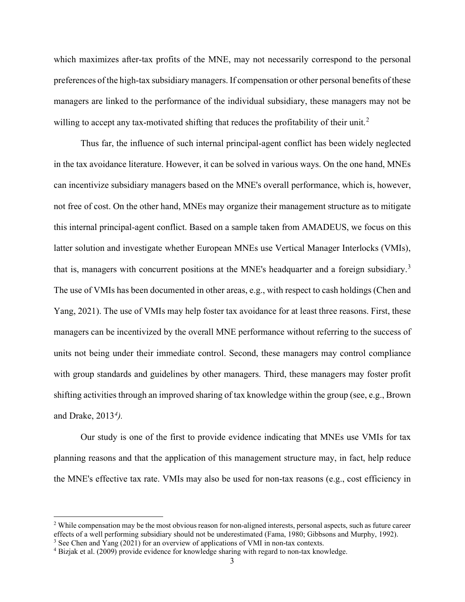which maximizes after-tax profits of the MNE, may not necessarily correspond to the personal preferences of the high-tax subsidiary managers. If compensation or other personal benefits of these managers are linked to the performance of the individual subsidiary, these managers may not be willing to accept any tax-motivated shifting that reduces the profitability of their unit.<sup>[2](#page-3-0)</sup>

Thus far, the influence of such internal principal-agent conflict has been widely neglected in the tax avoidance literature. However, it can be solved in various ways. On the one hand, MNEs can incentivize subsidiary managers based on the MNE's overall performance, which is, however, not free of cost. On the other hand, MNEs may organize their management structure as to mitigate this internal principal-agent conflict. Based on a sample taken from AMADEUS, we focus on this latter solution and investigate whether European MNEs use Vertical Manager Interlocks (VMIs), that is, managers with concurrent positions at the MNE's headquarter and a foreign subsidiary.<sup>[3](#page-3-1)</sup> The use of VMIs has been documented in other areas, e.g., with respect to cash holdings (Chen and Yang, 2021). The use of VMIs may help foster tax avoidance for at least three reasons. First, these managers can be incentivized by the overall MNE performance without referring to the success of units not being under their immediate control. Second, these managers may control compliance with group standards and guidelines by other managers. Third, these managers may foster profit shifting activities through an improved sharing of tax knowledge within the group (see, e.g., Brown and Drake, 2013*[4](#page-3-2)).*

Our study is one of the first to provide evidence indicating that MNEs use VMIs for tax planning reasons and that the application of this management structure may, in fact, help reduce the MNE's effective tax rate. VMIs may also be used for non-tax reasons (e.g., cost efficiency in

<span id="page-3-0"></span> $2$  While compensation may be the most obvious reason for non-aligned interests, personal aspects, such as future career effects of a well performing subsidiary should not be underestimated (Fama, 1980; Gibbsons and Murphy, 1992).

<span id="page-3-1"></span> $3$  See Chen and Yang (2021) for an overview of applications of VMI in non-tax contexts.

<span id="page-3-2"></span><sup>4</sup> Bizjak et al. (2009) provide evidence for knowledge sharing with regard to non-tax knowledge.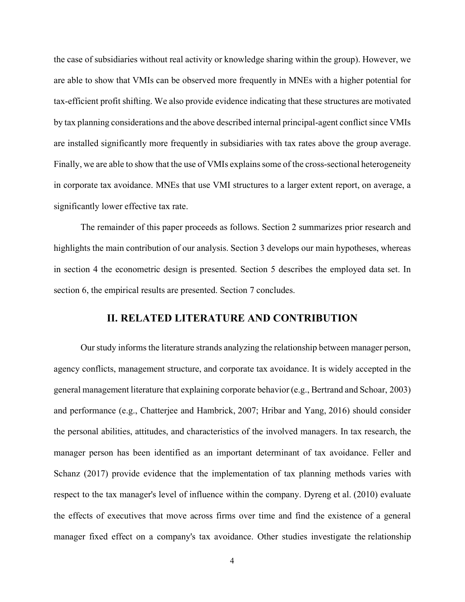the case of subsidiaries without real activity or knowledge sharing within the group). However, we are able to show that VMIs can be observed more frequently in MNEs with a higher potential for tax-efficient profit shifting. We also provide evidence indicating that these structures are motivated by tax planning considerations and the above described internal principal-agent conflict since VMIs are installed significantly more frequently in subsidiaries with tax rates above the group average. Finally, we are able to show that the use of VMIs explains some of the cross-sectional heterogeneity in corporate tax avoidance. MNEs that use VMI structures to a larger extent report, on average, a significantly lower effective tax rate.

The remainder of this paper proceeds as follows. Section 2 summarizes prior research and highlights the main contribution of our analysis. Section 3 develops our main hypotheses, whereas in section 4 the econometric design is presented. Section 5 describes the employed data set. In section 6, the empirical results are presented. Section 7 concludes.

## **II. RELATED LITERATURE AND CONTRIBUTION**

Our study informs the literature strands analyzing the relationship between manager person, agency conflicts, management structure, and corporate tax avoidance. It is widely accepted in the general management literature that explaining corporate behavior (e.g., Bertrand and Schoar, 2003) and performance (e.g., Chatterjee and Hambrick, 2007; Hribar and Yang, 2016) should consider the personal abilities, attitudes, and characteristics of the involved managers. In tax research, the manager person has been identified as an important determinant of tax avoidance. Feller and Schanz (2017) provide evidence that the implementation of tax planning methods varies with respect to the tax manager's level of influence within the company. Dyreng et al. (2010) evaluate the effects of executives that move across firms over time and find the existence of a general manager fixed effect on a company's tax avoidance. Other studies investigate the relationship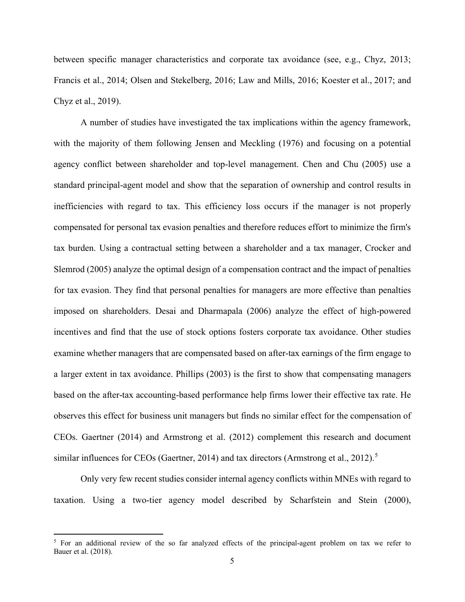between specific manager characteristics and corporate tax avoidance (see, e.g., Chyz, 2013; Francis et al., 2014; Olsen and Stekelberg, 2016; Law and Mills, 2016; Koester et al., 2017; and Chyz et al., 2019).

A number of studies have investigated the tax implications within the agency framework, with the majority of them following Jensen and Meckling (1976) and focusing on a potential agency conflict between shareholder and top-level management. Chen and Chu (2005) use a standard principal-agent model and show that the separation of ownership and control results in inefficiencies with regard to tax. This efficiency loss occurs if the manager is not properly compensated for personal tax evasion penalties and therefore reduces effort to minimize the firm's tax burden. Using a contractual setting between a shareholder and a tax manager, Crocker and Slemrod (2005) analyze the optimal design of a compensation contract and the impact of penalties for tax evasion. They find that personal penalties for managers are more effective than penalties imposed on shareholders. Desai and Dharmapala (2006) analyze the effect of high-powered incentives and find that the use of stock options fosters corporate tax avoidance. Other studies examine whether managers that are compensated based on after-tax earnings of the firm engage to a larger extent in tax avoidance. Phillips (2003) is the first to show that compensating managers based on the after-tax accounting-based performance help firms lower their effective tax rate. He observes this effect for business unit managers but finds no similar effect for the compensation of CEOs. Gaertner (2014) and Armstrong et al. (2012) complement this research and document similar influences for CEOs (Gaertner, 2014) and tax directors (Armstrong et al., 2012).<sup>[5](#page-5-0)</sup>

Only very few recent studies consider internal agency conflicts within MNEs with regard to taxation. Using a two-tier agency model described by Scharfstein and Stein (2000),

<span id="page-5-0"></span><sup>&</sup>lt;sup>5</sup> For an additional review of the so far analyzed effects of the principal-agent problem on tax we refer to Bauer et al. (2018).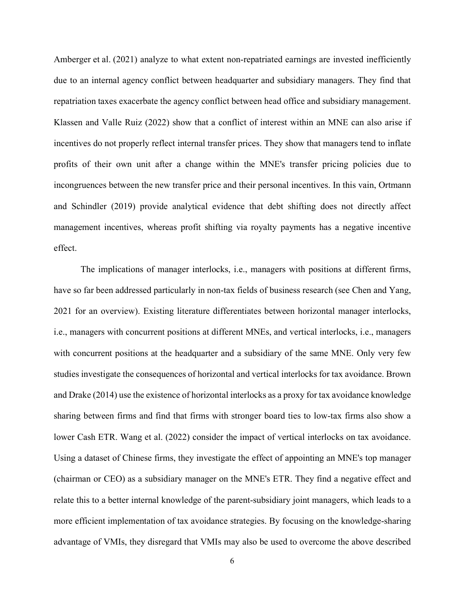Amberger et al. (2021) analyze to what extent non-repatriated earnings are invested inefficiently due to an internal agency conflict between headquarter and subsidiary managers. They find that repatriation taxes exacerbate the agency conflict between head office and subsidiary management. Klassen and Valle Ruiz (2022) show that a conflict of interest within an MNE can also arise if incentives do not properly reflect internal transfer prices. They show that managers tend to inflate profits of their own unit after a change within the MNE's transfer pricing policies due to incongruences between the new transfer price and their personal incentives. In this vain, Ortmann and Schindler (2019) provide analytical evidence that debt shifting does not directly affect management incentives, whereas profit shifting via royalty payments has a negative incentive effect.

The implications of manager interlocks, i.e., managers with positions at different firms, have so far been addressed particularly in non-tax fields of business research (see Chen and Yang, 2021 for an overview). Existing literature differentiates between horizontal manager interlocks, i.e., managers with concurrent positions at different MNEs, and vertical interlocks, i.e., managers with concurrent positions at the headquarter and a subsidiary of the same MNE. Only very few studies investigate the consequences of horizontal and vertical interlocks for tax avoidance. Brown and Drake (2014) use the existence of horizontal interlocks as a proxy for tax avoidance knowledge sharing between firms and find that firms with stronger board ties to low-tax firms also show a lower Cash ETR. Wang et al. (2022) consider the impact of vertical interlocks on tax avoidance. Using a dataset of Chinese firms, they investigate the effect of appointing an MNE's top manager (chairman or CEO) as a subsidiary manager on the MNE's ETR. They find a negative effect and relate this to a better internal knowledge of the parent-subsidiary joint managers, which leads to a more efficient implementation of tax avoidance strategies. By focusing on the knowledge-sharing advantage of VMIs, they disregard that VMIs may also be used to overcome the above described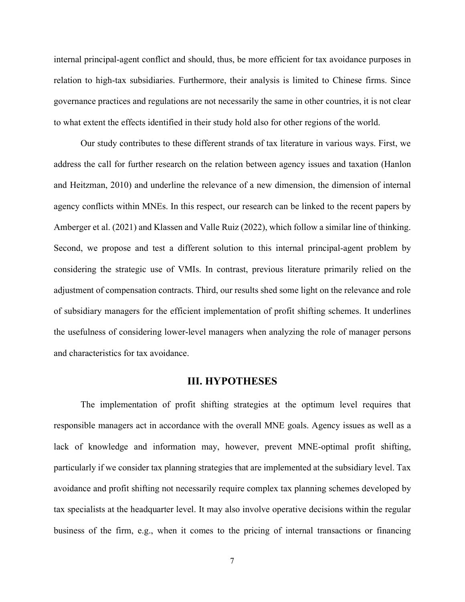internal principal-agent conflict and should, thus, be more efficient for tax avoidance purposes in relation to high-tax subsidiaries. Furthermore, their analysis is limited to Chinese firms. Since governance practices and regulations are not necessarily the same in other countries, it is not clear to what extent the effects identified in their study hold also for other regions of the world.

Our study contributes to these different strands of tax literature in various ways. First, we address the call for further research on the relation between agency issues and taxation (Hanlon and Heitzman, 2010) and underline the relevance of a new dimension, the dimension of internal agency conflicts within MNEs. In this respect, our research can be linked to the recent papers by Amberger et al. (2021) and Klassen and Valle Ruiz (2022), which follow a similar line of thinking. Second, we propose and test a different solution to this internal principal-agent problem by considering the strategic use of VMIs. In contrast, previous literature primarily relied on the adjustment of compensation contracts. Third, our results shed some light on the relevance and role of subsidiary managers for the efficient implementation of profit shifting schemes. It underlines the usefulness of considering lower-level managers when analyzing the role of manager persons and characteristics for tax avoidance.

## **III. HYPOTHESES**

The implementation of profit shifting strategies at the optimum level requires that responsible managers act in accordance with the overall MNE goals. Agency issues as well as a lack of knowledge and information may, however, prevent MNE-optimal profit shifting, particularly if we consider tax planning strategies that are implemented at the subsidiary level. Tax avoidance and profit shifting not necessarily require complex tax planning schemes developed by tax specialists at the headquarter level. It may also involve operative decisions within the regular business of the firm, e.g., when it comes to the pricing of internal transactions or financing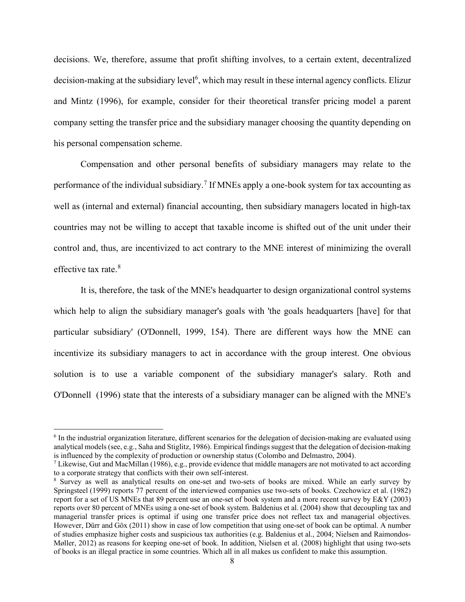decisions. We, therefore, assume that profit shifting involves, to a certain extent, decentralized decision-making at the subsidiary level<sup>[6](#page-8-0)</sup>, which may result in these internal agency conflicts. Elizur and Mintz (1996), for example, consider for their theoretical transfer pricing model a parent company setting the transfer price and the subsidiary manager choosing the quantity depending on his personal compensation scheme.

Compensation and other personal benefits of subsidiary managers may relate to the performance of the individual subsidiary.<sup>[7](#page-8-1)</sup> If MNEs apply a one-book system for tax accounting as well as (internal and external) financial accounting, then subsidiary managers located in high-tax countries may not be willing to accept that taxable income is shifted out of the unit under their control and, thus, are incentivized to act contrary to the MNE interest of minimizing the overall effective tax rate  $8<sup>8</sup>$  $8<sup>8</sup>$ 

It is, therefore, the task of the MNE's headquarter to design organizational control systems which help to align the subsidiary manager's goals with 'the goals headquarters [have] for that particular subsidiary' (O'Donnell, 1999, 154). There are different ways how the MNE can incentivize its subsidiary managers to act in accordance with the group interest. One obvious solution is to use a variable component of the subsidiary manager's salary. Roth and O'Donnell (1996) state that the interests of a subsidiary manager can be aligned with the MNE's

<span id="page-8-0"></span> $6$  In the industrial organization literature, different scenarios for the delegation of decision-making are evaluated using analytical models (see, e.g., Saha and Stiglitz, 1986). Empirical findings suggest that the delegation of decision-making is influenced by the complexity of production or ownership status (Colombo and Delmastro, 2004).

<span id="page-8-1"></span><sup>7</sup> Likewise, Gut and MacMillan (1986), e.g., provide evidence that middle managers are not motivated to act according to a corporate strategy that conflicts with their own self-interest.

<span id="page-8-2"></span><sup>8</sup> Survey as well as analytical results on one-set and two-sets of books are mixed. While an early survey by Springsteel (1999) reports 77 percent of the interviewed companies use two-sets of books. Czechowicz et al. (1982) report for a set of US MNEs that 89 percent use an one-set of book system and a more recent survey by E&Y (2003) reports over 80 percent of MNEs using a one-set of book system. Baldenius et al. (2004) show that decoupling tax and managerial transfer prices is optimal if using one transfer price does not reflect tax and managerial objectives. However, Dürr and Göx (2011) show in case of low competition that using one-set of book can be optimal. A number of studies emphasize higher costs and suspicious tax authorities (e.g. Baldenius et al., 2004; Nielsen and Raimondos-Møller, 2012) as reasons for keeping one-set of book. In addition, Nielsen et al. (2008) highlight that using two-sets of books is an illegal practice in some countries. Which all in all makes us confident to make this assumption.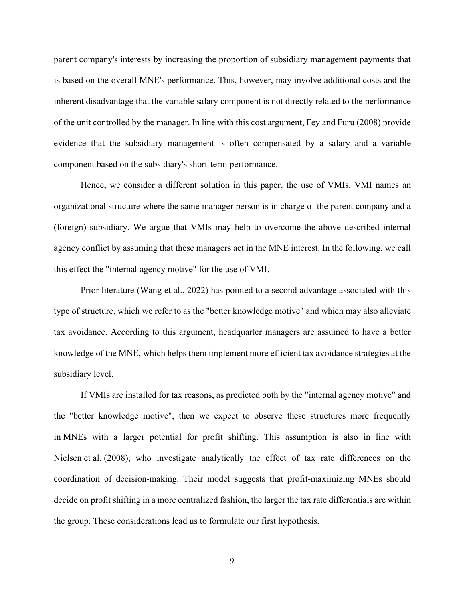parent company's interests by increasing the proportion of subsidiary management payments that is based on the overall MNE's performance. This, however, may involve additional costs and the inherent disadvantage that the variable salary component is not directly related to the performance of the unit controlled by the manager. In line with this cost argument, Fey and Furu (2008) provide evidence that the subsidiary management is often compensated by a salary and a variable component based on the subsidiary's short-term performance.

Hence, we consider a different solution in this paper, the use of VMIs. VMI names an organizational structure where the same manager person is in charge of the parent company and a (foreign) subsidiary. We argue that VMIs may help to overcome the above described internal agency conflict by assuming that these managers act in the MNE interest. In the following, we call this effect the "internal agency motive" for the use of VMI.

Prior literature (Wang et al., 2022) has pointed to a second advantage associated with this type of structure, which we refer to as the "better knowledge motive" and which may also alleviate tax avoidance. According to this argument, headquarter managers are assumed to have a better knowledge of the MNE, which helps them implement more efficient tax avoidance strategies at the subsidiary level.

If VMIs are installed for tax reasons, as predicted both by the "internal agency motive" and the "better knowledge motive", then we expect to observe these structures more frequently in MNEs with a larger potential for profit shifting. This assumption is also in line with Nielsen et al. (2008), who investigate analytically the effect of tax rate differences on the coordination of decision-making. Their model suggests that profit-maximizing MNEs should decide on profit shifting in a more centralized fashion, the larger the tax rate differentials are within the group. These considerations lead us to formulate our first hypothesis.

9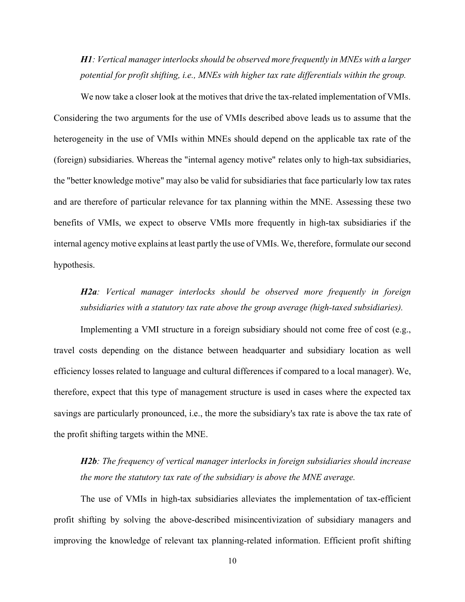*H1: Vertical manager interlocks should be observed more frequently in MNEs with a larger potential for profit shifting, i.e., MNEs with higher tax rate differentials within the group.* 

We now take a closer look at the motives that drive the tax-related implementation of VMIs. Considering the two arguments for the use of VMIs described above leads us to assume that the heterogeneity in the use of VMIs within MNEs should depend on the applicable tax rate of the (foreign) subsidiaries. Whereas the "internal agency motive" relates only to high-tax subsidiaries, the "better knowledge motive" may also be valid for subsidiaries that face particularly low tax rates and are therefore of particular relevance for tax planning within the MNE. Assessing these two benefits of VMIs, we expect to observe VMIs more frequently in high-tax subsidiaries if the internal agency motive explains at least partly the use of VMIs. We, therefore, formulate our second hypothesis.

# *H2a: Vertical manager interlocks should be observed more frequently in foreign subsidiaries with a statutory tax rate above the group average (high-taxed subsidiaries).*

Implementing a VMI structure in a foreign subsidiary should not come free of cost (e.g., travel costs depending on the distance between headquarter and subsidiary location as well efficiency losses related to language and cultural differences if compared to a local manager). We, therefore, expect that this type of management structure is used in cases where the expected tax savings are particularly pronounced, i.e., the more the subsidiary's tax rate is above the tax rate of the profit shifting targets within the MNE.

*H2b: The frequency of vertical manager interlocks in foreign subsidiaries should increase the more the statutory tax rate of the subsidiary is above the MNE average.* 

The use of VMIs in high-tax subsidiaries alleviates the implementation of tax-efficient profit shifting by solving the above-described misincentivization of subsidiary managers and improving the knowledge of relevant tax planning-related information. Efficient profit shifting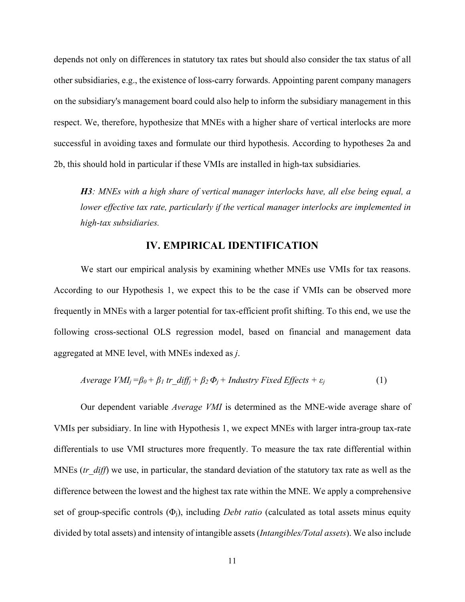depends not only on differences in statutory tax rates but should also consider the tax status of all other subsidiaries, e.g., the existence of loss-carry forwards. Appointing parent company managers on the subsidiary's management board could also help to inform the subsidiary management in this respect. We, therefore, hypothesize that MNEs with a higher share of vertical interlocks are more successful in avoiding taxes and formulate our third hypothesis. According to hypotheses 2a and 2b, this should hold in particular if these VMIs are installed in high-tax subsidiaries.

*H3: MNEs with a high share of vertical manager interlocks have, all else being equal, a lower effective tax rate, particularly if the vertical manager interlocks are implemented in high-tax subsidiaries.* 

#### **IV. EMPIRICAL IDENTIFICATION**

We start our empirical analysis by examining whether MNEs use VMIs for tax reasons. According to our Hypothesis 1, we expect this to be the case if VMIs can be observed more frequently in MNEs with a larger potential for tax-efficient profit shifting. To this end, we use the following cross-sectional OLS regression model, based on financial and management data aggregated at MNE level, with MNEs indexed as *j*.

$$
Average VMI_j = \beta_0 + \beta_1 tr\_diff_j + \beta_2 \Phi_j + Industry Fixed Effects + \varepsilon_j \tag{1}
$$

Our dependent variable *Average VMI* is determined as the MNE-wide average share of VMIs per subsidiary. In line with Hypothesis 1, we expect MNEs with larger intra-group tax-rate differentials to use VMI structures more frequently. To measure the tax rate differential within MNEs (*tr\_diff*) we use, in particular, the standard deviation of the statutory tax rate as well as the difference between the lowest and the highest tax rate within the MNE. We apply a comprehensive set of group-specific controls (Φj), including *Debt ratio* (calculated as total assets minus equity divided by total assets) and intensity of intangible assets (*Intangibles/Total assets*). We also include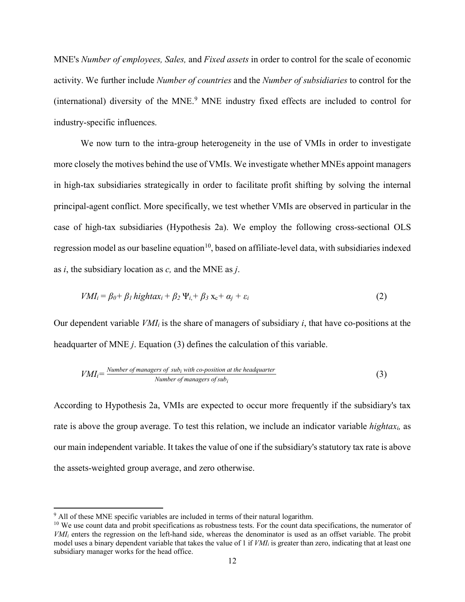MNE's *Number of employees, Sales,* and *Fixed assets* in order to control for the scale of economic activity. We further include *Number of countries* and the *Number of subsidiaries* to control for the (international) diversity of the MNE.<sup>[9](#page-12-0)</sup> MNE industry fixed effects are included to control for industry-specific influences.

We now turn to the intra-group heterogeneity in the use of VMIs in order to investigate more closely the motives behind the use of VMIs. We investigate whether MNEs appoint managers in high-tax subsidiaries strategically in order to facilitate profit shifting by solving the internal principal-agent conflict. More specifically, we test whether VMIs are observed in particular in the case of high-tax subsidiaries (Hypothesis 2a). We employ the following cross-sectional OLS regression model as our baseline equation<sup>10</sup>, based on affiliate-level data, with subsidiaries indexed as *i*, the subsidiary location as *c,* and the MNE as *j*.

$$
VMI_i = \beta_0 + \beta_1 \text{ high}\tan_i + \beta_2 \Psi_i + \beta_3 \mathbf{x}_c + \alpha_j + \varepsilon_i \tag{2}
$$

Our dependent variable  $VMI_i$  is the share of managers of subsidiary *i*, that have co-positions at the headquarter of MNE *j*. Equation (3) defines the calculation of this variable.

$$
VMI_i = \frac{Number\ of\ managers\ of\ sub_i\ with\ co\ position\ at\ the\ headquarters}{Number\ of\ managers\ of\ sub_i}
$$
 (3)

According to Hypothesis 2a, VMIs are expected to occur more frequently if the subsidiary's tax rate is above the group average. To test this relation, we include an indicator variable *hightaxi,* as our main independent variable. It takes the value of one if the subsidiary's statutory tax rate is above the assets-weighted group average, and zero otherwise.

<span id="page-12-0"></span> $9$  All of these MNE specific variables are included in terms of their natural logarithm.

<span id="page-12-1"></span> $10$  We use count data and probit specifications as robustness tests. For the count data specifications, the numerator of *VMIi* enters the regression on the left-hand side, whereas the denominator is used as an offset variable. The probit model uses a binary dependent variable that takes the value of 1 if *VMI<sub>i</sub>* is greater than zero, indicating that at least one subsidiary manager works for the head office.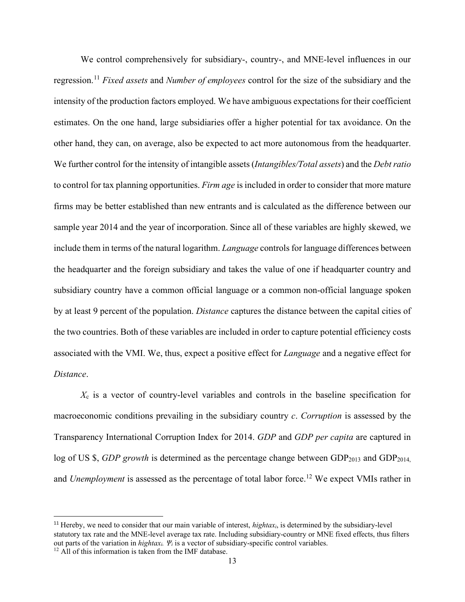We control comprehensively for subsidiary-, country-, and MNE-level influences in our regression.[11](#page-13-0) *Fixed assets* and *Number of employees* control for the size of the subsidiary and the intensity of the production factors employed. We have ambiguous expectations for their coefficient estimates. On the one hand, large subsidiaries offer a higher potential for tax avoidance. On the other hand, they can, on average, also be expected to act more autonomous from the headquarter. We further control for the intensity of intangible assets (*Intangibles/Total assets*) and the *Debt ratio* to control for tax planning opportunities. *Firm age* is included in order to consider that more mature firms may be better established than new entrants and is calculated as the difference between our sample year 2014 and the year of incorporation. Since all of these variables are highly skewed, we include them in terms of the natural logarithm. *Language* controls for language differences between the headquarter and the foreign subsidiary and takes the value of one if headquarter country and subsidiary country have a common official language or a common non-official language spoken by at least 9 percent of the population. *Distance* captures the distance between the capital cities of the two countries. Both of these variables are included in order to capture potential efficiency costs associated with the VMI. We, thus, expect a positive effect for *Language* and a negative effect for *Distance*.

*X*<sup>c</sup> is a vector of country-level variables and controls in the baseline specification for macroeconomic conditions prevailing in the subsidiary country *c*. *Corruption* is assessed by the Transparency International Corruption Index for 2014. *GDP* and *GDP per capita* are captured in log of US \$, *GDP growth* is determined as the percentage change between GDP<sub>2013</sub> and GDP<sub>2014</sub>. and *Unemployment* is assessed as the percentage of total labor force.<sup>[12](#page-13-1)</sup> We expect VMIs rather in

<span id="page-13-0"></span><sup>&</sup>lt;sup>11</sup> Hereby, we need to consider that our main variable of interest, *hightax<sub>i*</sub>, is determined by the subsidiary-level statutory tax rate and the MNE-level average tax rate. Including subsidiary-country or MNE fixed effects, thus filters out parts of the variation in *hightaxi. Ψ<sup>i</sup>* is a vector of subsidiary-specific control variables.

<span id="page-13-1"></span><sup>&</sup>lt;sup>12</sup> All of this information is taken from the IMF database.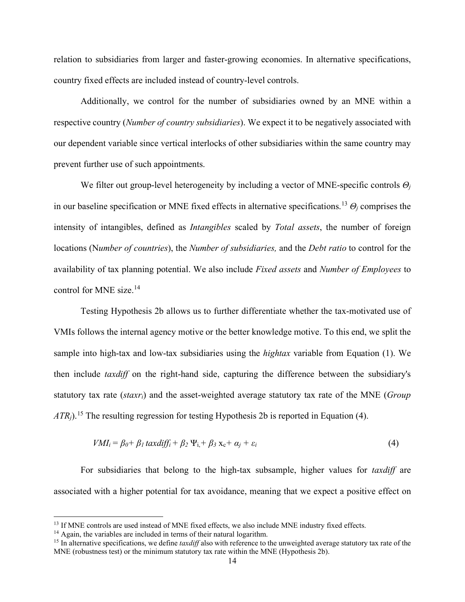relation to subsidiaries from larger and faster-growing economies. In alternative specifications, country fixed effects are included instead of country-level controls.

Additionally, we control for the number of subsidiaries owned by an MNE within a respective country (*Number of country subsidiaries*). We expect it to be negatively associated with our dependent variable since vertical interlocks of other subsidiaries within the same country may prevent further use of such appointments.

We filter out group-level heterogeneity by including a vector of MNE-specific controls *Θ<sup>j</sup>* in our baseline specification or MNE fixed effects in alternative specifications.[13](#page-14-0) *Θ<sup>j</sup>* comprises the intensity of intangibles, defined as *Intangibles* scaled by *Total assets*, the number of foreign locations (N*umber of countries*), the *Number of subsidiaries,* and the *Debt ratio* to control for the availability of tax planning potential. We also include *Fixed assets* and *Number of Employees* to control for MNE size. $14$ 

Testing Hypothesis 2b allows us to further differentiate whether the tax-motivated use of VMIs follows the internal agency motive or the better knowledge motive. To this end, we split the sample into high-tax and low-tax subsidiaries using the *hightax* variable from Equation (1). We then include *taxdiff* on the right-hand side, capturing the difference between the subsidiary's statutory tax rate (*staxri*) and the asset-weighted average statutory tax rate of the MNE (*Group ATR<sub>i</sub>*).<sup>[15](#page-14-2)</sup> The resulting regression for testing Hypothesis 2b is reported in Equation (4).

$$
VMI_i = \beta_0 + \beta_1 \, \text{taxdiff}_i + \beta_2 \, \Psi_{i,} + \beta_3 \, \chi_c + \alpha_j + \varepsilon_i \tag{4}
$$

For subsidiaries that belong to the high-tax subsample, higher values for *taxdiff* are associated with a higher potential for tax avoidance, meaning that we expect a positive effect on

<span id="page-14-0"></span><sup>&</sup>lt;sup>13</sup> If MNE controls are used instead of MNE fixed effects, we also include MNE industry fixed effects.  $14$  Again, the variables are included in terms of their natural logarithm.

<span id="page-14-1"></span>

<span id="page-14-2"></span><sup>&</sup>lt;sup>15</sup> In alternative specifications, we define *taxdiff* also with reference to the unweighted average statutory tax rate of the MNE (robustness test) or the minimum statutory tax rate within the MNE (Hypothesis 2b).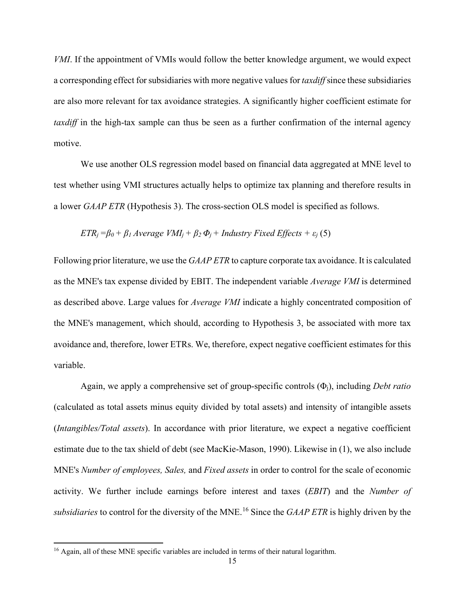*VMI*. If the appointment of VMIs would follow the better knowledge argument, we would expect a corresponding effect for subsidiaries with more negative values for *taxdiff*since these subsidiaries are also more relevant for tax avoidance strategies. A significantly higher coefficient estimate for *taxdiff* in the high-tax sample can thus be seen as a further confirmation of the internal agency motive.

We use another OLS regression model based on financial data aggregated at MNE level to test whether using VMI structures actually helps to optimize tax planning and therefore results in a lower *GAAP ETR* (Hypothesis 3). The cross-section OLS model is specified as follows.

$$
ETR_j = \beta_0 + \beta_1 AverageVMI_j + \beta_2 \Phi_j + Industry Fixed Effects + \varepsilon_j (5)
$$

Following prior literature, we use the *GAAP ETR* to capture corporate tax avoidance. It is calculated as the MNE's tax expense divided by EBIT. The independent variable *Average VMI* is determined as described above. Large values for *Average VMI* indicate a highly concentrated composition of the MNE's management, which should, according to Hypothesis 3, be associated with more tax avoidance and, therefore, lower ETRs. We, therefore, expect negative coefficient estimates for this variable.

Again, we apply a comprehensive set of group-specific controls (Φj), including *Debt ratio* (calculated as total assets minus equity divided by total assets) and intensity of intangible assets (*Intangibles/Total assets*). In accordance with prior literature, we expect a negative coefficient estimate due to the tax shield of debt (see MacKie-Mason, 1990). Likewise in (1), we also include MNE's *Number of employees, Sales,* and *Fixed assets* in order to control for the scale of economic activity. We further include earnings before interest and taxes (*EBIT*) and the *Number of subsidiaries* to control for the diversity of the MNE.[16](#page-15-0) Since the *GAAP ETR* is highly driven by the

<span id="page-15-0"></span><sup>&</sup>lt;sup>16</sup> Again, all of these MNE specific variables are included in terms of their natural logarithm.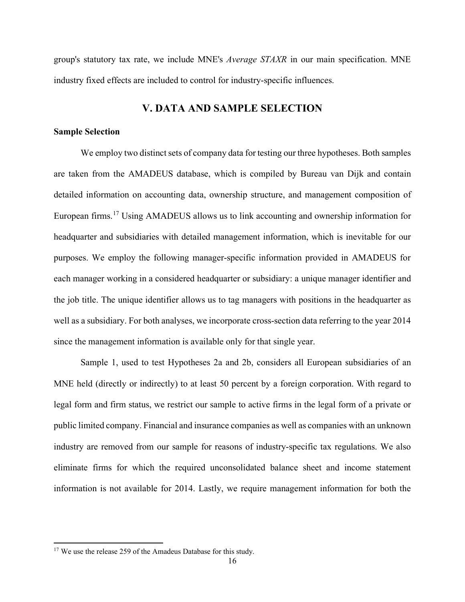group's statutory tax rate, we include MNE's *Average STAXR* in our main specification. MNE industry fixed effects are included to control for industry-specific influences.

# **V. DATA AND SAMPLE SELECTION**

#### **Sample Selection**

We employ two distinct sets of company data for testing our three hypotheses. Both samples are taken from the AMADEUS database, which is compiled by Bureau van Dijk and contain detailed information on accounting data, ownership structure, and management composition of European firms.[17](#page-16-0) Using AMADEUS allows us to link accounting and ownership information for headquarter and subsidiaries with detailed management information, which is inevitable for our purposes. We employ the following manager-specific information provided in AMADEUS for each manager working in a considered headquarter or subsidiary: a unique manager identifier and the job title. The unique identifier allows us to tag managers with positions in the headquarter as well as a subsidiary. For both analyses, we incorporate cross-section data referring to the year 2014 since the management information is available only for that single year.

Sample 1, used to test Hypotheses 2a and 2b, considers all European subsidiaries of an MNE held (directly or indirectly) to at least 50 percent by a foreign corporation. With regard to legal form and firm status, we restrict our sample to active firms in the legal form of a private or public limited company. Financial and insurance companies as well as companies with an unknown industry are removed from our sample for reasons of industry-specific tax regulations. We also eliminate firms for which the required unconsolidated balance sheet and income statement information is not available for 2014. Lastly, we require management information for both the

<span id="page-16-0"></span><sup>&</sup>lt;sup>17</sup> We use the release 259 of the Amadeus Database for this study.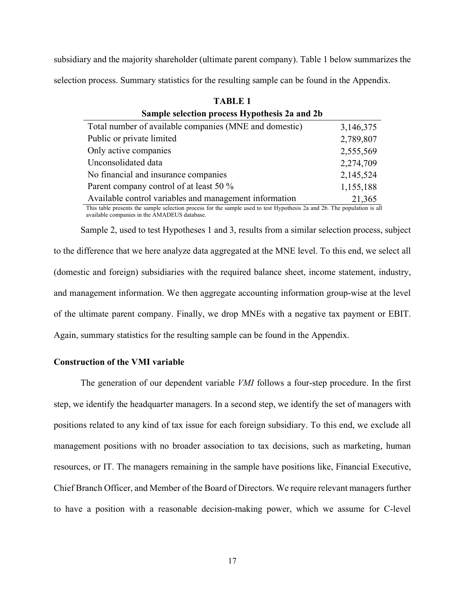subsidiary and the majority shareholder (ultimate parent company). Table 1 below summarizes the selection process. Summary statistics for the resulting sample can be found in the Appendix.

**TABLE 1**

| 1 ADIJY 1                                              |           |  |  |  |  |  |
|--------------------------------------------------------|-----------|--|--|--|--|--|
| Sample selection process Hypothesis 2a and 2b          |           |  |  |  |  |  |
| Total number of available companies (MNE and domestic) | 3,146,375 |  |  |  |  |  |
| Public or private limited                              | 2,789,807 |  |  |  |  |  |
| Only active companies                                  | 2,555,569 |  |  |  |  |  |
| Unconsolidated data                                    | 2,274,709 |  |  |  |  |  |
| No financial and insurance companies                   | 2,145,524 |  |  |  |  |  |
| Parent company control of at least 50 %                | 1,155,188 |  |  |  |  |  |
| Available control variables and management information | 21,365    |  |  |  |  |  |

This table presents the sample selection process for the sample used to test Hypothesis 2a and 2b. The population is all available companies in the AMADEUS database.

Sample 2, used to test Hypotheses 1 and 3, results from a similar selection process, subject to the difference that we here analyze data aggregated at the MNE level. To this end, we select all (domestic and foreign) subsidiaries with the required balance sheet, income statement, industry, and management information. We then aggregate accounting information group-wise at the level of the ultimate parent company. Finally, we drop MNEs with a negative tax payment or EBIT. Again, summary statistics for the resulting sample can be found in the Appendix.

#### **Construction of the VMI variable**

The generation of our dependent variable *VMI* follows a four-step procedure. In the first step, we identify the headquarter managers. In a second step, we identify the set of managers with positions related to any kind of tax issue for each foreign subsidiary. To this end, we exclude all management positions with no broader association to tax decisions, such as marketing, human resources, or IT. The managers remaining in the sample have positions like, Financial Executive, Chief Branch Officer, and Member of the Board of Directors. We require relevant managers further to have a position with a reasonable decision-making power, which we assume for C-level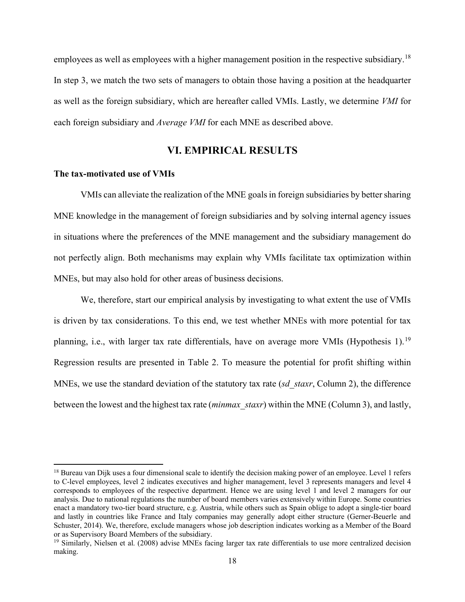employees as well as employees with a higher management position in the respective subsidiary.<sup>[18](#page-18-0)</sup> In step 3, we match the two sets of managers to obtain those having a position at the headquarter as well as the foreign subsidiary, which are hereafter called VMIs. Lastly, we determine *VMI* for each foreign subsidiary and *Average VMI* for each MNE as described above.

# **VI. EMPIRICAL RESULTS**

#### **The tax-motivated use of VMIs**

VMIs can alleviate the realization of the MNE goals in foreign subsidiaries by better sharing MNE knowledge in the management of foreign subsidiaries and by solving internal agency issues in situations where the preferences of the MNE management and the subsidiary management do not perfectly align. Both mechanisms may explain why VMIs facilitate tax optimization within MNEs, but may also hold for other areas of business decisions.

We, therefore, start our empirical analysis by investigating to what extent the use of VMIs is driven by tax considerations. To this end, we test whether MNEs with more potential for tax planning, i.e., with larger tax rate differentials, have on average more VMIs (Hypothesis 1).<sup>[19](#page-18-1)</sup> Regression results are presented in Table 2. To measure the potential for profit shifting within MNEs, we use the standard deviation of the statutory tax rate (*sd\_staxr*, Column 2), the difference between the lowest and the highest tax rate (*minmax\_staxr*) within the MNE (Column 3), and lastly,

<span id="page-18-0"></span><sup>&</sup>lt;sup>18</sup> Bureau van Dijk uses a four dimensional scale to identify the decision making power of an employee. Level 1 refers to C-level employees, level 2 indicates executives and higher management, level 3 represents managers and level 4 corresponds to employees of the respective department. Hence we are using level 1 and level 2 managers for our analysis. Due to national regulations the number of board members varies extensively within Europe. Some countries enact a mandatory two-tier board structure, e.g. Austria, while others such as Spain oblige to adopt a single-tier board and lastly in countries like France and Italy companies may generally adopt either structure (Gerner-Beuerle and Schuster, 2014). We, therefore, exclude managers whose job description indicates working as a Member of the Board or as Supervisory Board Members of the subsidiary.

<span id="page-18-1"></span><sup>&</sup>lt;sup>19</sup> Similarly, Nielsen et al. (2008) advise MNEs facing larger tax rate differentials to use more centralized decision making.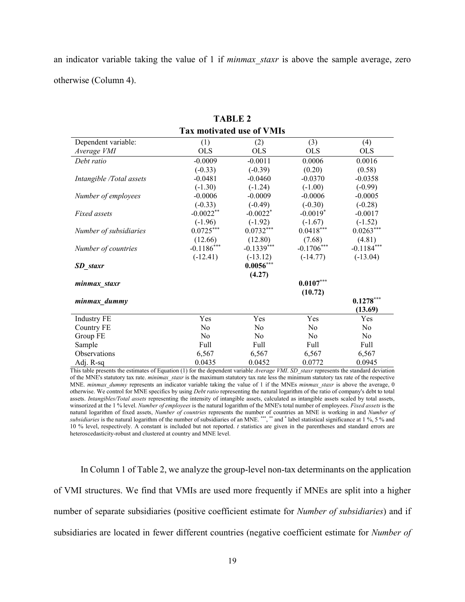an indicator variable taking the value of 1 if *minmax\_staxr* is above the sample average, zero otherwise (Column 4).

| <b>Tax motivated use of VMIs</b> |                |                        |                |                |  |
|----------------------------------|----------------|------------------------|----------------|----------------|--|
| Dependent variable:              | (1)            | (2)                    | (3)            | (4)            |  |
| Average VMI                      | <b>OLS</b>     | <b>OLS</b>             | <b>OLS</b>     | <b>OLS</b>     |  |
| Debt ratio                       | $-0.0009$      | $-0.0011$              | 0.0006         | 0.0016         |  |
|                                  | $(-0.33)$      | $(-0.39)$              | (0.20)         | (0.58)         |  |
| Intangible /Total assets         | $-0.0481$      | $-0.0460$              | $-0.0370$      | $-0.0358$      |  |
|                                  | $(-1.30)$      | $(-1.24)$              | $(-1.00)$      | $(-0.99)$      |  |
| Number of employees              | $-0.0006$      | $-0.0009$              | $-0.0006$      | $-0.0005$      |  |
|                                  | $(-0.33)$      | $(-0.49)$              | $(-0.30)$      | $(-0.28)$      |  |
| Fixed assets                     | $-0.0022**$    | $-0.0022$ <sup>*</sup> | $-0.0019*$     | $-0.0017$      |  |
|                                  | $(-1.96)$      | $(-1.92)$              | $(-1.67)$      | $(-1.52)$      |  |
| Number of subsidiaries           | $0.0725***$    | $0.0732***$            | $0.0418***$    | $0.0263***$    |  |
|                                  | (12.66)        | (12.80)                | (7.68)         | (4.81)         |  |
| Number of countries              | $-0.1186$ ***  | $-0.1339***$           | $-0.1706***$   | $-0.1184***$   |  |
|                                  | $(-12.41)$     | $(-13.12)$             | $(-14.77)$     | $(-13.04)$     |  |
| <b>SD</b> staxr                  |                | $0.0056***$            |                |                |  |
|                                  |                | (4.27)                 |                |                |  |
| minmax_staxr                     |                |                        | $0.0107***$    |                |  |
|                                  |                |                        | (10.72)        |                |  |
| minmax dummy                     |                |                        |                | $0.1278***$    |  |
|                                  |                |                        |                | (13.69)        |  |
| <b>Industry FE</b>               | Yes            | Yes                    | Yes            | Yes            |  |
| Country FE                       | No             | N <sub>o</sub>         | No             | No             |  |
| Group FE                         | N <sub>0</sub> | N <sub>o</sub>         | N <sub>0</sub> | N <sub>o</sub> |  |
| Sample                           | Full           | Full                   | Full           | Full           |  |
| Observations                     | 6,567          | 6,567                  | 6,567          | 6,567          |  |
| Adj. R-sq                        | 0.0435         | 0.0452                 | 0.0772         | 0.0945         |  |

**TABLE 2**

This table presents the estimates of Equation (1) for the dependent variable *Average VMI*. *SD\_staxr* represents the standard deviation of the MNE's statutory tax rate. *minimax\_staxr* is the maximum statutory tax rate less the minimum statutory tax rate of the respective MNE. *minmax\_dummy* represents an indicator variable taking the value of 1 if the MNEs *minmax\_staxr* is above the average, 0 otherwise. We control for MNE specifics by using *Debt ratio* representing the natural logarithm of the ratio of company's debt to total assets. *Intangibles/Total assets* representing the intensity of intangible assets, calculated as intangible assets scaled by total assets, winsorized at the 1 % level. *Number of employees* is the natural logarithm of the MNE's total number of employees. *Fixed assets* is the natural logarithm of fixed assets, *Number of countries* represents the number of countries an MNE is working in and *Number of subsidiaries* is the natural logarithm of the number of subsidiaries of an MNE. \*\*\*, \*\* and \* label statistical significance at 1 %, 5 % and 10 % level, respectively. A constant is included but not reported. *t* statistics are given in the parentheses and standard errors are heteroscedasticity-robust and clustered at country and MNE level.

In Column 1 of Table 2, we analyze the group-level non-tax determinants on the application of VMI structures. We find that VMIs are used more frequently if MNEs are split into a higher number of separate subsidiaries (positive coefficient estimate for *Number of subsidiaries*) and if subsidiaries are located in fewer different countries (negative coefficient estimate for *Number of*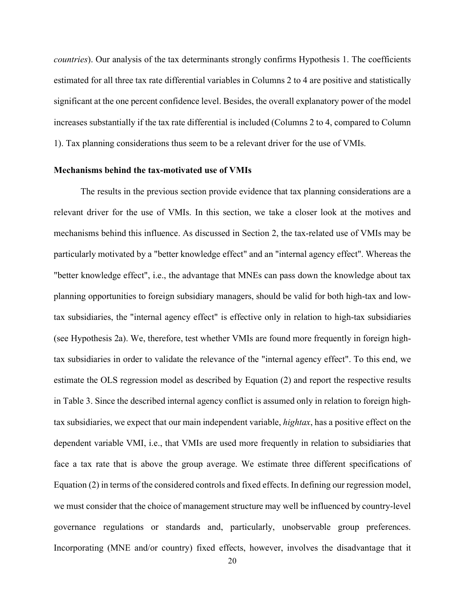*countries*). Our analysis of the tax determinants strongly confirms Hypothesis 1. The coefficients estimated for all three tax rate differential variables in Columns 2 to 4 are positive and statistically significant at the one percent confidence level. Besides, the overall explanatory power of the model increases substantially if the tax rate differential is included (Columns 2 to 4, compared to Column 1). Tax planning considerations thus seem to be a relevant driver for the use of VMIs.

#### **Mechanisms behind the tax-motivated use of VMIs**

The results in the previous section provide evidence that tax planning considerations are a relevant driver for the use of VMIs. In this section, we take a closer look at the motives and mechanisms behind this influence. As discussed in Section 2, the tax-related use of VMIs may be particularly motivated by a "better knowledge effect" and an "internal agency effect". Whereas the "better knowledge effect", i.e., the advantage that MNEs can pass down the knowledge about tax planning opportunities to foreign subsidiary managers, should be valid for both high-tax and lowtax subsidiaries, the "internal agency effect" is effective only in relation to high-tax subsidiaries (see Hypothesis 2a). We, therefore, test whether VMIs are found more frequently in foreign hightax subsidiaries in order to validate the relevance of the "internal agency effect". To this end, we estimate the OLS regression model as described by Equation (2) and report the respective results in Table 3. Since the described internal agency conflict is assumed only in relation to foreign hightax subsidiaries, we expect that our main independent variable, *hightax*, has a positive effect on the dependent variable VMI, i.e., that VMIs are used more frequently in relation to subsidiaries that face a tax rate that is above the group average. We estimate three different specifications of Equation (2) in terms of the considered controls and fixed effects. In defining our regression model, we must consider that the choice of management structure may well be influenced by country-level governance regulations or standards and, particularly, unobservable group preferences. Incorporating (MNE and/or country) fixed effects, however, involves the disadvantage that it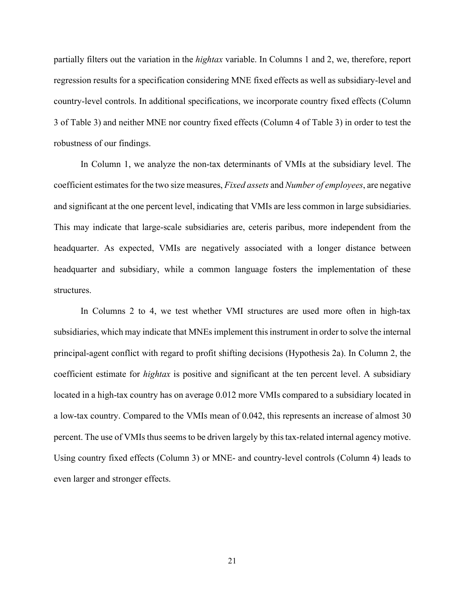partially filters out the variation in the *hightax* variable. In Columns 1 and 2, we, therefore, report regression results for a specification considering MNE fixed effects as well as subsidiary-level and country-level controls. In additional specifications, we incorporate country fixed effects (Column 3 of Table 3) and neither MNE nor country fixed effects (Column 4 of Table 3) in order to test the robustness of our findings.

In Column 1, we analyze the non-tax determinants of VMIs at the subsidiary level. The coefficient estimates for the two size measures, *Fixed assets* and *Number of employees*, are negative and significant at the one percent level, indicating that VMIs are less common in large subsidiaries. This may indicate that large-scale subsidiaries are, ceteris paribus, more independent from the headquarter. As expected, VMIs are negatively associated with a longer distance between headquarter and subsidiary, while a common language fosters the implementation of these structures.

In Columns 2 to 4, we test whether VMI structures are used more often in high-tax subsidiaries, which may indicate that MNEs implement this instrument in order to solve the internal principal-agent conflict with regard to profit shifting decisions (Hypothesis 2a). In Column 2, the coefficient estimate for *hightax* is positive and significant at the ten percent level. A subsidiary located in a high-tax country has on average 0.012 more VMIs compared to a subsidiary located in a low-tax country. Compared to the VMIs mean of 0.042, this represents an increase of almost 30 percent. The use of VMIs thus seems to be driven largely by this tax-related internal agency motive. Using country fixed effects (Column 3) or MNE- and country-level controls (Column 4) leads to even larger and stronger effects.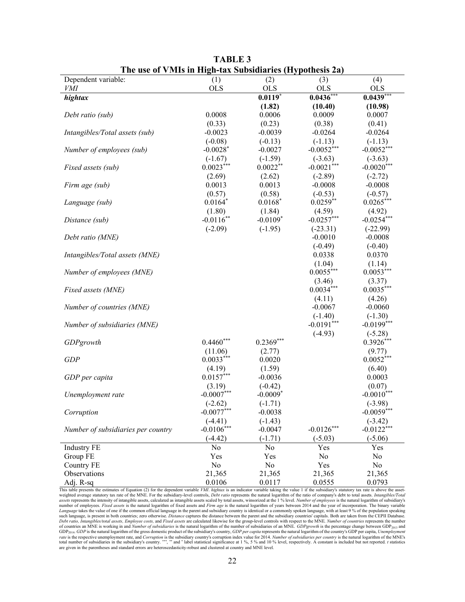| The use of vivils in fligh-tax subsidiaries (hypothesis 2a)                                                                                                                                      |                        |                      |                         |                          |
|--------------------------------------------------------------------------------------------------------------------------------------------------------------------------------------------------|------------------------|----------------------|-------------------------|--------------------------|
| Dependent variable:                                                                                                                                                                              | (1)                    | (2)                  | (3)                     | (4)                      |
| VMI                                                                                                                                                                                              | <b>OLS</b>             | <b>OLS</b>           | <b>OLS</b>              | <b>OLS</b>               |
| hightax                                                                                                                                                                                          |                        | $0.0119*$            | $0.0436***$             | $0.0439***$              |
|                                                                                                                                                                                                  |                        | (1.82)               | (10.40)                 | (10.98)                  |
| Debt ratio (sub)                                                                                                                                                                                 | 0.0008                 | 0.0006               | 0.0009                  | 0.0007                   |
|                                                                                                                                                                                                  | (0.33)                 | (0.23)               | (0.38)                  | (0.41)                   |
| Intangibles/Total assets (sub)                                                                                                                                                                   | $-0.0023$              | $-0.0039$            | $-0.0264$               | $-0.0264$                |
|                                                                                                                                                                                                  | $(-0.08)$              | $(-0.13)$            | $(-1.13)$               | $(-1.13)$                |
| Number of employees (sub)                                                                                                                                                                        | $-0.0028$ <sup>*</sup> | $-0.0027$            | $-0.0052***$            | $-0.0052***$             |
|                                                                                                                                                                                                  | $(-1.67)$              | $(-1.59)$            | $(-3.63)$               | $(-3.63)$                |
| Fixed assets (sub)                                                                                                                                                                               | $0.0023***$            | $0.0022**$           | $-0.0021***$            | $-0.0020***$             |
|                                                                                                                                                                                                  | (2.69)                 | (2.62)               | $(-2.89)$               | $(-2.72)$                |
| Firm age (sub)                                                                                                                                                                                   | 0.0013                 | 0.0013               | $-0.0008$               | $-0.0008$                |
|                                                                                                                                                                                                  | (0.57)<br>$0.0164*$    | (0.58)               | $(-0.53)$<br>$0.0259**$ | $(-0.57)$<br>$0.0265***$ |
| Language (sub)                                                                                                                                                                                   |                        | $0.0168*$            |                         |                          |
|                                                                                                                                                                                                  | (1.80)<br>$-0.0116**$  | (1.84)<br>$-0.0109*$ | (4.59)<br>$-0.0257***$  | (4.92)<br>$-0.0254***$   |
| Distance (sub)                                                                                                                                                                                   | $(-2.09)$              | $(-1.95)$            | $(-23.31)$              | $(-22.99)$               |
| Debt ratio (MNE)                                                                                                                                                                                 |                        |                      | $-0.0010$               | $-0.0008$                |
|                                                                                                                                                                                                  |                        |                      | $(-0.49)$               | $(-0.40)$                |
| Intangibles/Total assets (MNE)                                                                                                                                                                   |                        |                      | 0.0338                  | 0.0370                   |
|                                                                                                                                                                                                  |                        |                      | (1.04)                  | (1.14)                   |
| Number of employees (MNE)                                                                                                                                                                        |                        |                      | $0.0055***$             | $0.0053***$              |
|                                                                                                                                                                                                  |                        |                      | (3.46)                  | (3.37)                   |
| Fixed assets (MNE)                                                                                                                                                                               |                        |                      | $0.0034***$             | $0.0035***$              |
|                                                                                                                                                                                                  |                        |                      | (4.11)                  | (4.26)                   |
| Number of countries (MNE)                                                                                                                                                                        |                        |                      | $-0.0067$               | $-0.0060$                |
|                                                                                                                                                                                                  |                        |                      | $(-1.40)$               | $(-1.30)$                |
| Number of subsidiaries (MNE)                                                                                                                                                                     |                        |                      | $-0.0191***$            | $-0.0199***$             |
|                                                                                                                                                                                                  |                        |                      | $(-4.93)$               | $(-5.28)$                |
| GDPgrowth                                                                                                                                                                                        | $0.4460***$            | $0.2369***$          |                         | $0.3926***$              |
|                                                                                                                                                                                                  | (11.06)                | (2.77)               |                         | (9.77)                   |
| <b>GDP</b>                                                                                                                                                                                       | $0.0033***$            | 0.0020               |                         | $0.0052***$              |
|                                                                                                                                                                                                  | (4.19)                 | (1.59)               |                         | (6.40)                   |
| GDP per capita                                                                                                                                                                                   | $0.0157***$            | $-0.0036$            |                         | 0.0003                   |
|                                                                                                                                                                                                  | (3.19)                 | $(-0.42)$            |                         | (0.07)                   |
| Unemployment rate                                                                                                                                                                                | $-0.0007***$           | $-0.0009*$           |                         | $-0.0010***$             |
|                                                                                                                                                                                                  | $(-2.62)$              | $(-1.71)$            |                         | $(-3.98)$                |
| Corruption                                                                                                                                                                                       | $-0.0077$ ***          | $-0.0038$            |                         | $-0.0059$ ***            |
|                                                                                                                                                                                                  | $(-4.41)$              | $(-1.43)$            |                         | $(-3.42)$                |
| Number of subsidiaries per country                                                                                                                                                               | $-0.0106***$           | $-0.0047$            | $-0.0126***$            | $-0.0122***$             |
|                                                                                                                                                                                                  | $(-4.42)$              | $(-1.71)$            | $(-5.03)$               | $(-5.06)$                |
| <b>Industry FE</b>                                                                                                                                                                               | No                     | No                   | Yes                     | Yes                      |
| Group FE                                                                                                                                                                                         | Yes                    | Yes                  | No                      | No                       |
| Country FE                                                                                                                                                                                       | No                     | No                   | Yes                     | No                       |
| Observations                                                                                                                                                                                     | 21,365                 | 21,365               | 21,365                  | 21,365                   |
| Adj. R-sq                                                                                                                                                                                        | 0.0106                 | 0.0117               | 0.0555                  | 0.0793                   |
| This table presents the estimates of Equation (2) for the dependent variable VMI. hightax is an indicator variable taking the value 1 if the subsidiary's statutory tax rate is above the asset- |                        |                      |                         |                          |

**TABLE 3 The use of VMIs in High-tax Subsidiaries (Hypothesis 2a)**

weighted average statutory tax rate of the MNE. For the subsidiary-level controls, *Debt ratio* represents the natural logarithm of the ratio of company's debt to total assets. *Intangibles/Total*  assets represents the intensity of intangible assets, calculated as intangible assets scaled by total assets, winsorized at the 1 % level. Number of employees is the natural logarithm of subsidiary's number of employees is Language takes the value of one if the common official language in the parent and subsidiary country is identical or a commonly spoken language, with at least 9 % of the population speaking<br>such language, is present in bot Debt ratio, Intangibles/total assets, Employee costs, and Fixed assets are calculated likewise for the group-level controls with respect to the MNE. Number of countries represents the number<br>of countries an MNE is working rate is the respective unemployment rate, and Corruption is the subsidiary country's corruption index value for 2014. Number of subsidiaries per country is the natural logarithm of the MNE's the natural logarithm of the MN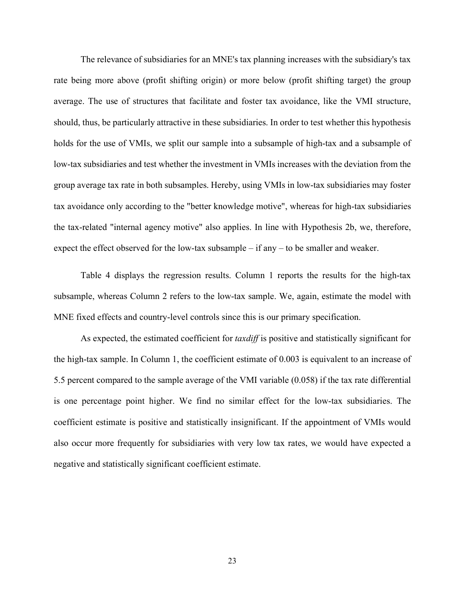The relevance of subsidiaries for an MNE's tax planning increases with the subsidiary's tax rate being more above (profit shifting origin) or more below (profit shifting target) the group average. The use of structures that facilitate and foster tax avoidance, like the VMI structure, should, thus, be particularly attractive in these subsidiaries. In order to test whether this hypothesis holds for the use of VMIs, we split our sample into a subsample of high-tax and a subsample of low-tax subsidiaries and test whether the investment in VMIs increases with the deviation from the group average tax rate in both subsamples. Hereby, using VMIs in low-tax subsidiaries may foster tax avoidance only according to the "better knowledge motive", whereas for high-tax subsidiaries the tax-related "internal agency motive" also applies. In line with Hypothesis 2b, we, therefore, expect the effect observed for the low-tax subsample – if any – to be smaller and weaker.

Table 4 displays the regression results. Column 1 reports the results for the high-tax subsample, whereas Column 2 refers to the low-tax sample. We, again, estimate the model with MNE fixed effects and country-level controls since this is our primary specification.

As expected, the estimated coefficient for *taxdiff* is positive and statistically significant for the high-tax sample. In Column 1, the coefficient estimate of 0.003 is equivalent to an increase of 5.5 percent compared to the sample average of the VMI variable (0.058) if the tax rate differential is one percentage point higher. We find no similar effect for the low-tax subsidiaries. The coefficient estimate is positive and statistically insignificant. If the appointment of VMIs would also occur more frequently for subsidiaries with very low tax rates, we would have expected a negative and statistically significant coefficient estimate.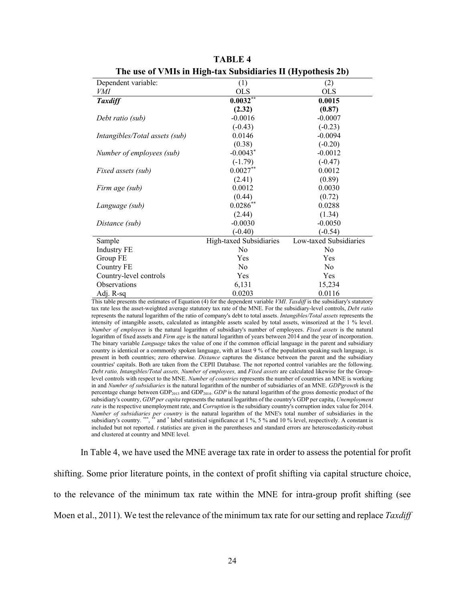| Dependent variable:            | (1)                     | (2)                    |
|--------------------------------|-------------------------|------------------------|
| VMI                            | <b>OLS</b>              | <b>OLS</b>             |
| <b>Taxdiff</b>                 | $0.0032***$             | 0.0015                 |
|                                | (2.32)                  | (0.87)                 |
| Debt ratio (sub)               | $-0.0016$               | $-0.0007$              |
|                                | $(-0.43)$               | $(-0.23)$              |
| Intangibles/Total assets (sub) | 0.0146                  | $-0.0094$              |
|                                | (0.38)                  | $(-0.20)$              |
| Number of employees (sub)      | $-0.0043*$              | $-0.0012$              |
|                                | $(-1.79)$               | $(-0.47)$              |
| Fixed assets (sub)             | $0.0027**$              | 0.0012                 |
|                                | (2.41)                  | (0.89)                 |
| Firm age (sub)                 | 0.0012                  | 0.0030                 |
|                                | (0.44)                  | (0.72)                 |
| Language (sub)                 | $0.0286**$              | 0.0288                 |
|                                | (2.44)                  | (1.34)                 |
| Distance (sub)                 | $-0.0030$               | $-0.0050$              |
|                                | $(-0.40)$               | $(-0.54)$              |
| Sample                         | High-taxed Subsidiaries | Low-taxed Subsidiaries |
| <b>Industry FE</b>             | N <sub>0</sub>          | N <sub>0</sub>         |
| Group FE                       | Yes                     | Yes                    |
| Country FE                     | N <sub>0</sub>          | N <sub>0</sub>         |
| Country-level controls         | Yes                     | Yes                    |
| Observations                   | 6,131                   | 15,234                 |
| Adj. R-sq                      | 0.0203                  | 0.0116                 |

**TABLE 4 The use of VMIs in High-tax Subsidiaries II (Hypothesis 2b)**

This table presents the estimates of Equation (4) for the dependent variable *VMI*. *Taxdiff* is the subsidiary's statutory tax rate less the asset-weighted average statutory tax rate of the MNE. For the subsidiary-level controls, *Debt ratio* represents the natural logarithm of the ratio of company's debt to total assets. *Intangibles/Total assets* represents the intensity of intangible assets, calculated as intangible assets scaled by total assets, winsorized at the 1 % level. *Number of employees* is the natural logarithm of subsidiary's number of employees. *Fixed assets* is the natural logarithm of fixed assets and *Firm age* is the natural logarithm of years between 2014 and the year of incorporation. The binary variable *Language* takes the value of one if the common official language in the parent and subsidiary country is identical or a commonly spoken language, with at least 9 % of the population speaking such language, is present in both countries; zero otherwise. *Distance* captures the distance between the parent and the subsidiary countries' capitals. Both are taken from the CEPII Database. The not reported control variables are the following. *Debt ratio, Intangibles/Total assets, Number of employees,* and *Fixed assets* are calculated likewise for the Grouplevel controls with respect to the MNE. *Number of countries* represents the number of countries an MNE is working in and *Number of subsidiaries* is the natural logarithm of the number of subsidiaries of an MNE. *GDPgrowth* is the percentage change between GDP<sub>2013</sub> and GDP<sub>2014</sub>. *GDP* is the natural logarithm of the gross domestic product of the subsidiary's country, *GDP per capita* represents the natural logarithm of the country's GDP per capita, *Unemployment rate* is the respective unemployment rate, and *Corruption* is the subsidiary country's corruption index value for 2014. *Number of subsidiaries per country* is the natural logarithm of the MNE's total number of subsidiaries in the subsidiary's country. \*\*\*, \*\*\* and \* label statistical significance at 1 %, 5 % and 10 % level, respectively. A constant is included but not reported. *t* statistics are given in the parentheses and standard errors are heteroscedasticity-robust and clustered at country and MNE level.

In Table 4, we have used the MNE average tax rate in order to assess the potential for profit

shifting. Some prior literature points, in the context of profit shifting via capital structure choice,

to the relevance of the minimum tax rate within the MNE for intra-group profit shifting (see

Moen et al., 2011). We test the relevance of the minimum tax rate for our setting and replace *Taxdiff*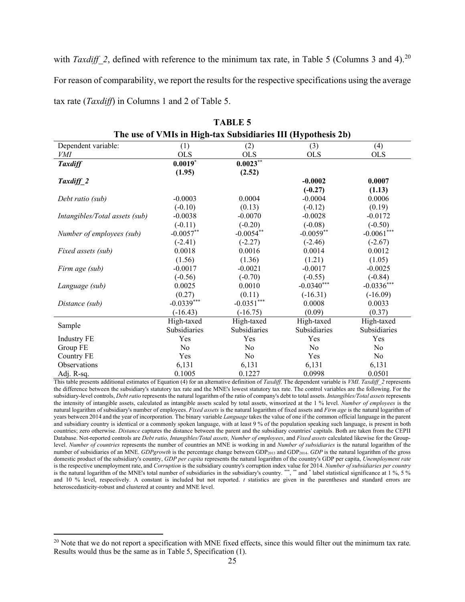with *Taxdiff* 2, defined with reference to the minimum tax rate, in Table 5 (Columns 3 and 4).<sup>[20](#page-25-0)</sup> For reason of comparability, we report the results for the respective specifications using the average tax rate (*Taxdiff*) in Columns 1 and 2 of Table 5.

| The use of VMIs in High-tax Subsidiaries III (Hypothesis 2b) |              |              |                |                |
|--------------------------------------------------------------|--------------|--------------|----------------|----------------|
| Dependent variable:                                          | (1)          | (2)          | (3)            | (4)            |
| VMI                                                          | <b>OLS</b>   | <b>OLS</b>   | <b>OLS</b>     | <b>OLS</b>     |
| <b>Taxdiff</b>                                               | $0.0019^{*}$ | $0.0023***$  |                |                |
|                                                              | (1.95)       | (2.52)       |                |                |
| Taxdiff_2                                                    |              |              | $-0.0002$      | 0.0007         |
|                                                              |              |              | $(-0.27)$      | (1.13)         |
| Debt ratio (sub)                                             | $-0.0003$    | 0.0004       | $-0.0004$      | 0.0006         |
|                                                              | $(-0.10)$    | (0.13)       | $(-0.12)$      | (0.19)         |
| Intangibles/Total assets (sub)                               | $-0.0038$    | $-0.0070$    | $-0.0028$      | $-0.0172$      |
|                                                              | $(-0.11)$    | $(-0.20)$    | $(-0.08)$      | $(-0.50)$      |
| Number of employees (sub)                                    | $-0.0057**$  | $-0.0054**$  | $-0.0059**$    | $-0.0061***$   |
|                                                              | $(-2.41)$    | $(-2.27)$    | $(-2.46)$      | $(-2.67)$      |
| Fixed assets (sub)                                           | 0.0018       | 0.0016       | 0.0014         | 0.0012         |
|                                                              | (1.56)       | (1.36)       | (1.21)         | (1.05)         |
| Firm age (sub)                                               | $-0.0017$    | $-0.0021$    | $-0.0017$      | $-0.0025$      |
|                                                              | $(-0.56)$    | $(-0.70)$    | $(-0.55)$      | $(-0.84)$      |
| Language (sub)                                               | 0.0025       | 0.0010       | $-0.0340***$   | $-0.0336***$   |
|                                                              | (0.27)       | (0.11)       | $(-16.31)$     | $(-16.09)$     |
| Distance (sub)                                               | $-0.0339***$ | $-0.0351***$ | 0.0008         | 0.0033         |
|                                                              | $(-16.43)$   | $(-16.75)$   | (0.09)         | (0.37)         |
|                                                              | High-taxed   | High-taxed   | High-taxed     | High-taxed     |
| Sample                                                       | Subsidiaries | Subsidiaries | Subsidiaries   | Subsidiaries   |
| <b>Industry FE</b>                                           | Yes          | Yes          | Yes            | Yes            |
| Group FE                                                     | No           | No           | N <sub>o</sub> | No             |
| <b>Country FE</b>                                            | Yes          | No           | Yes            | N <sub>0</sub> |
| Observations                                                 | 6,131        | 6,131        | 6,131          | 6,131          |
| Adj. R-sq.                                                   | 0.1005       | 0.1227       | 0.0998         | 0.0501         |

| <b>TABLE 5</b> |                                                              |  |  |  |
|----------------|--------------------------------------------------------------|--|--|--|
|                | 'he use of VMIs in High-tax Subsidiaries III (Hvpothesis 2b) |  |  |  |

This table presents additional estimates of Equation (4) for an alternative definition of *Taxdiff*. The dependent variable is *VMI*. *Taxdiff\_2* represents the difference between the subsidiary's statutory tax rate and the MNE's lowest statutory tax rate. The control variables are the following. For the subsidiary-level controls, *Debt ratio* represents the natural logarithm of the ratio of company's debt to total assets. *Intangibles/Total assets* represents the intensity of intangible assets, calculated as intangible assets scaled by total assets, winsorized at the 1 % level. *Number of employees* is the natural logarithm of subsidiary's number of employees. *Fixed assets* is the natural logarithm of fixed assets and *Firm age* is the natural logarithm of years between 2014 and the year of incorporation. The binary variable *Language* takes the value of one if the common official language in the parent and subsidiary country is identical or a commonly spoken language, with at least 9 % of the population speaking such language, is present in both countries; zero otherwise. *Distance* captures the distance between the parent and the subsidiary countries' capitals. Both are taken from the CEPII Database. Not-reported controls are *Debt ratio, Intangibles/Total assets, Number of employees*, and *Fixed assets* calculated likewise for the Grouplevel. *Number of countries* represents the number of countries an MNE is working in and *Number of subsidiaries* is the natural logarithm of the number of subsidiaries of an MNE. *GDPgrowth* is the percentage change between GDP<sub>2013</sub> and GDP<sub>2014</sub>. *GDP* is the natural logarithm of the gross domestic product of the subsidiary's country, *GDP per capita* represents the natural logarithm of the country's GDP per capita, *Unemployment rate* is the respective unemployment rate, and *Corruption* is the subsidiary country's corruption index value for 2014. *Number of subsidiaries per country* is the natural logarithm of the MNE's total number of subsidiaries in the subsidiary's country. \*\*\*, \*\* and \* label statistical significance at 1 %, 5 % and 10 % level, respectively. A constant is included but not reported. *t* statistics are given in the parentheses and standard errors are heteroscedasticity-robust and clustered at country and MNE level.

<span id="page-25-0"></span><sup>&</sup>lt;sup>20</sup> Note that we do not report a specification with MNE fixed effects, since this would filter out the minimum tax rate. Results would thus be the same as in Table 5, Specification (1).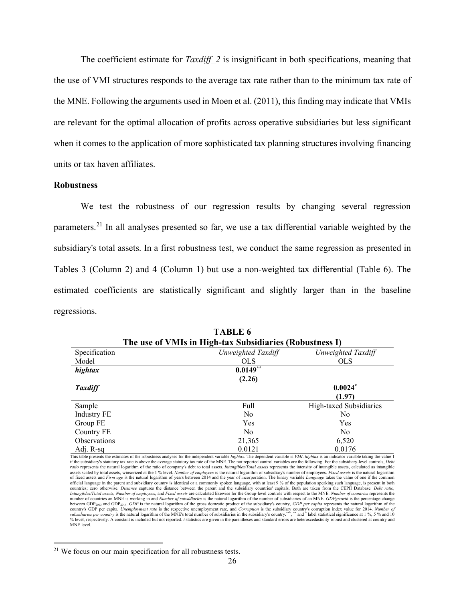The coefficient estimate for *Taxdiff* 2 is insignificant in both specifications, meaning that the use of VMI structures responds to the average tax rate rather than to the minimum tax rate of the MNE. Following the arguments used in Moen et al. (2011), this finding may indicate that VMIs are relevant for the optimal allocation of profits across operative subsidiaries but less significant when it comes to the application of more sophisticated tax planning structures involving financing units or tax haven affiliates.

#### **Robustness**

We test the robustness of our regression results by changing several regression parameters.[21](#page-26-0) In all analyses presented so far, we use a tax differential variable weighted by the subsidiary's total assets. In a first robustness test, we conduct the same regression as presented in Tables 3 (Column 2) and 4 (Column 1) but use a non-weighted tax differential (Table 6). The estimated coefficients are statistically significant and slightly larger than in the baseline regressions.

| The use of VMIs in High-tax Subsidiaries (Robustness I) |                    |                         |  |  |  |
|---------------------------------------------------------|--------------------|-------------------------|--|--|--|
| Specification                                           | Unweighted Taxdiff | Unweighted Taxdiff      |  |  |  |
| Model                                                   | <b>OLS</b>         | <b>OLS</b>              |  |  |  |
| hightax                                                 | $0.0149$ **        |                         |  |  |  |
|                                                         | (2.26)             |                         |  |  |  |
| <b>Taxdiff</b>                                          |                    | $0.0024*$               |  |  |  |
|                                                         |                    | (1.97)                  |  |  |  |
| Sample                                                  | Full               | High-taxed Subsidiaries |  |  |  |
| <b>Industry FE</b>                                      | No                 | No                      |  |  |  |
| Group FE                                                | Yes                | Yes                     |  |  |  |
| Country FE                                              | N <sub>0</sub>     | No                      |  |  |  |
| <b>Observations</b>                                     | 21,365             | 6,520                   |  |  |  |
| Adj. R-sq                                               | 0.0121             | 0.0176                  |  |  |  |

**TABLE 6**

This table presents the estimates of the robustness analyses for the independent variable *hightax*. The dependent variable is *VMI*. *hightax* is an indicator variable taking the value 1 if the subsidiary's statutory tax rate is above the average statutory tax rate of the MNE. The not reported control variables are the following. For the subsidiary-level controls, *Debt*  ratio represents the natural logarithm of the ratio of company's debt to total assets. Intangibles/Total assets represents the intensity of intangible assets, calculated as intangible<br>assets scaled by total assets, winsori of fixed assets and *Firm age* is the natural logarithm of years between 2014 and the year of incorporation. The binary variable *Language* takes the value of one if the common official language in the parent and subsidiary country is identical or a commonly spoken language, with at least 9 % of the population speaking such language, is present in both<br>countries; zero otherwise. *Distance* captur *Intangibles/Total assets, Number of employees*, and *Fixed assets* are calculated likewise for the Group-level controls with respect to the MNE. *Number of countries* represents the number of countries an MNE is working in and *Number of subsidiaries* is the natural logarithm of the number of subsidiaries of an MNE. *GDPgrowth* is the percentage change between GDP<sub>2013</sub> and GDP<sub>2014</sub>. *GDP* is the natural logarithm of the gross domestic product of the subsidiary's country, *GDP per capita* represents the natural logarithm of the country's GDP per capita, Unemployment rate is the respective unemployment rate, and Corruption is the subsidiary country's corruption index value for 2014. Number of<br>subsidiaries per country is the natural logarithm of th where the constant is uncurred to the constant of the construction of the parentheses and standard errors are heteroscedasticity-robust and clustered at country and the parentheses and standard errors are heteroscedasticit MNE level.

<span id="page-26-0"></span><sup>&</sup>lt;sup>21</sup> We focus on our main specification for all robustness tests.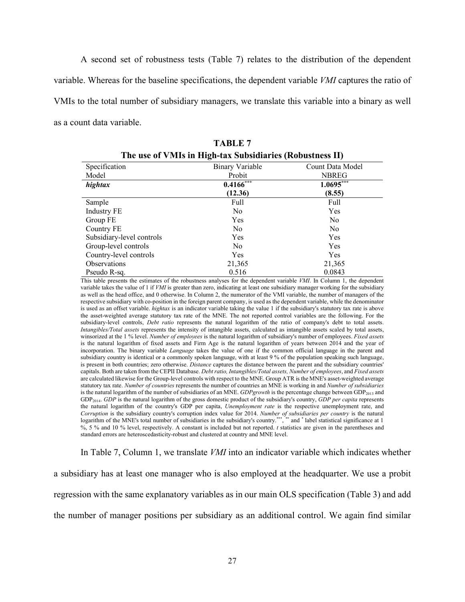A second set of robustness tests (Table 7) relates to the distribution of the dependent variable. Whereas for the baseline specifications, the dependent variable *VMI* captures the ratio of VMIs to the total number of subsidiary managers, we translate this variable into a binary as well as a count data variable.

|                           | The use of vivils in Ingh-tax Subsidiaries (Kobustness II) |                  |
|---------------------------|------------------------------------------------------------|------------------|
| Specification             | Binary Variable                                            | Count Data Model |
| Model                     | Probit                                                     | <b>NBREG</b>     |
| hightax                   | $0.4166$ ***                                               | $1.0695***$      |
|                           | (12.36)                                                    | (8.55)           |
| Sample                    | Full                                                       | Full             |
| <b>Industry FE</b>        | N <sub>0</sub>                                             | Yes              |
| Group FE                  | Yes                                                        | N <sub>0</sub>   |
| Country FE                | N <sub>0</sub>                                             | N <sub>0</sub>   |
| Subsidiary-level controls | <b>Yes</b>                                                 | Yes              |
| Group-level controls      | N <sub>0</sub>                                             | Yes              |
| Country-level controls    | <b>Yes</b>                                                 | <b>Yes</b>       |
| Observations              | 21,365                                                     | 21,365           |
| Pseudo R-sq.              | 0.516                                                      | 0.0843           |

**TABLE 7 The use of VMIs in High-tax Subsidiaries (Robustness II)**

This table presents the estimates of the robustness analyses for the dependent variable *VMI*. In Column 1, the dependent variable takes the value of 1 if *VMI* is greater than zero, indicating at least one subsidiary manager working for the subsidiary as well as the head office, and 0 otherwise. In Column 2, the numerator of the VMI variable, the number of managers of the respective subsidiary with co-position in the foreign parent company, is used as the dependent variable, while the denominator is used as an offset variable. *hightax* is an indicator variable taking the value 1 if the subsidiary's statutory tax rate is above the asset-weighted average statutory tax rate of the MNE. The not reported control variables are the following. For the subsidiary-level controls, *Debt ratio* represents the natural logarithm of the ratio of company's debt to total assets. *Intangibles/Total assets* represents the intensity of intangible assets, calculated as intangible assets scaled by total assets, winsorized at the 1 % level. *Number of employees* is the natural logarithm of subsidiary's number of employees. *Fixed assets* is the natural logarithm of fixed assets and Firm Age is the natural logarithm of years between 2014 and the year of incorporation. The binary variable *Language* takes the value of one if the common official language in the parent and subsidiary country is identical or a commonly spoken language, with at least 9 % of the population speaking such language, is present in both countries; zero otherwise. *Distance* captures the distance between the parent and the subsidiary countries' capitals. Both are taken from the CEPII Database. *Debt ratio, Intangibles/Total assets, Number of employees*, and *Fixed assets* are calculated likewise for the Group-level controls with respect to the MNE. Group ATR is the MNE's asset-weighted average statutory tax rate. *Number of countries* represents the number of countries an MNE is working in and *Number of subsidiaries* is the natural logarithm of the number of subsidiaries of an MNE. *GDPgrowth* is the percentage change between GDP<sub>2013</sub> and GDP2014. *GDP* is the natural logarithm of the gross domestic product of the subsidiary's country, *GDP per capita* represents the natural logarithm of the country's GDP per capita, *Unemployment rate* is the respective unemployment rate, and *Corruption* is the subsidiary country's corruption index value for 2014. *Number of subsidiaries per country* is the natural logarithm of the MNE's total number of subsidiaries in the subsidiary's country.\*\*\*, \*\* and \* label statistical significance at 1 %, 5 % and 10 % level, respectively. A constant is included but not reported. *t* statistics are given in the parentheses and standard errors are heteroscedasticity-robust and clustered at country and MNE level.

In Table 7, Column 1, we translate *VMI* into an indicator variable which indicates whether a subsidiary has at least one manager who is also employed at the headquarter. We use a probit regression with the same explanatory variables as in our main OLS specification (Table 3) and add the number of manager positions per subsidiary as an additional control. We again find similar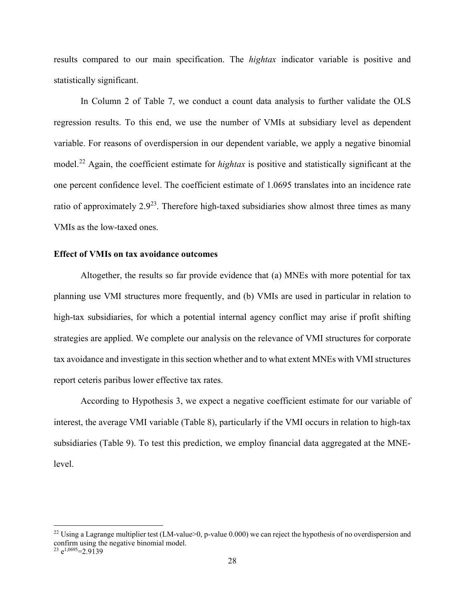results compared to our main specification. The *hightax* indicator variable is positive and statistically significant.

In Column 2 of Table 7, we conduct a count data analysis to further validate the OLS regression results. To this end, we use the number of VMIs at subsidiary level as dependent variable. For reasons of overdispersion in our dependent variable, we apply a negative binomial model.[22](#page-28-0) Again, the coefficient estimate for *hightax* is positive and statistically significant at the one percent confidence level. The coefficient estimate of 1.0695 translates into an incidence rate ratio of approximately  $2.9^{23}$  $2.9^{23}$  $2.9^{23}$ . Therefore high-taxed subsidiaries show almost three times as many VMIs as the low-taxed ones.

#### **Effect of VMIs on tax avoidance outcomes**

Altogether, the results so far provide evidence that (a) MNEs with more potential for tax planning use VMI structures more frequently, and (b) VMIs are used in particular in relation to high-tax subsidiaries, for which a potential internal agency conflict may arise if profit shifting strategies are applied. We complete our analysis on the relevance of VMI structures for corporate tax avoidance and investigate in this section whether and to what extent MNEs with VMI structures report ceteris paribus lower effective tax rates.

According to Hypothesis 3, we expect a negative coefficient estimate for our variable of interest, the average VMI variable (Table 8), particularly if the VMI occurs in relation to high-tax subsidiaries (Table 9). To test this prediction, we employ financial data aggregated at the MNElevel.

<span id="page-28-1"></span><span id="page-28-0"></span><sup>&</sup>lt;sup>22</sup> Using a Lagrange multiplier test (LM-value>0, p-value 0.000) we can reject the hypothesis of no overdispersion and confirm using the negative binomial model. <sup>23</sup> e<sup>1,0695</sup>=2.9139</sup>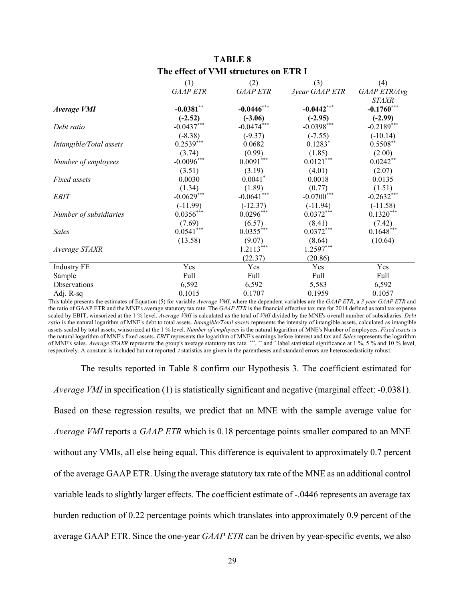|                         | (1)             | (2)                   | (3)            | (4)          |
|-------------------------|-----------------|-----------------------|----------------|--------------|
|                         | <b>GAAP ETR</b> | <b>GAAP ETR</b>       | 3year GAAP ETR | GAAP ETR/Avg |
|                         |                 |                       |                | <b>STAXR</b> |
| <b>Average VMI</b>      | $-0.0381$ **    | $-0.0446***$          | $-0.0442$ ***  | $-0.1760***$ |
|                         | $(-2.52)$       | $(-3.06)$             | $(-2.95)$      | $(-2.99)$    |
| Debt ratio              | $-0.0437***$    | $-0.0474***$          | $-0.0398***$   | $-0.2189***$ |
|                         | $(-8.38)$       | $(-9.37)$             | $(-7.55)$      | $(-10.14)$   |
| Intangible/Total assets | $0.2539***$     | 0.0682                | $0.1283*$      | $0.5508**$   |
|                         | (3.74)          | (0.99)                | (1.85)         | (2.00)       |
| Number of employees     | $-0.0096***$    | $0.0091***$           | $0.0121***$    | $0.0242**$   |
|                         | (3.51)          | (3.19)                | (4.01)         | (2.07)       |
| Fixed assets            | 0.0030          | $0.0041$ <sup>*</sup> | 0.0018         | 0.0135       |
|                         | (1.34)          | (1.89)                | (0.77)         | (1.51)       |
| <b>EBIT</b>             | $-0.0629***$    | $-0.0641***$          | $-0.0700***$   | $-0.2632***$ |
|                         | $(-11.99)$      | $(-12.37)$            | $(-11.94)$     | $(-11.58)$   |
| Number of subsidiaries  | $0.0356***$     | $0.0296***$           | $0.0372***$    | $0.1320***$  |
|                         | (7.69)          | (6.57)                | (8.41)         | (7.42)       |
| <b>Sales</b>            | $0.0541***$     | $0.0355***$           | $0.0372***$    | $0.1648***$  |
|                         | (13.58)         | (9.07)                | (8.64)         | (10.64)      |
| Average STAXR           |                 | $1.2113***$           | $1.2597***$    |              |
|                         |                 | (22.37)               | (20.86)        |              |
| <b>Industry FE</b>      | Yes             | Yes                   | Yes            | Yes          |
| Sample                  | Full            | Full                  | Full           | Full         |
| Observations            | 6,592           | 6,592                 | 5,583          | 6,592        |
| Adj. R-sq               | 0.1015          | 0.1707                | 0.1959         | 0.1057       |

**TABLE 8 The effect of VMI structures on ETR I**

This table presents the estimates of Equation (5) for variable *Average VMI*, where the dependent variables are the *GAAP ETR*, a *3 year GAAP ETR* and the ratio of GAAP ETR and the MNE's average statutory tax rate. The *GAAP ETR* is the financial effective tax rate for 2014 defined as total tax expense scaled by EBIT, winsorized at the 1 % level. *Average VMI* is calculated as the total of *VMI* divided by the MNE's overall number of subsidiaries. *Debt ratio* is the natural logarithm of MNE's debt to total assets. *Intangible/Total assets* represents the intensity of intangible assets, calculated as intangible assets scaled by total assets, winsorized at the 1 % level. *Number of employees* is the natural logarithm of MNE's Number of employees. *Fixed assets* is the natural logarithm of MNE's fixed assets. *EBIT* represents the logarithm of MNE's earnings before interest and tax and *Sales* represents the logarithm of MNE's sales. *Average STAXR* represents the group's average statutory tax rate. \*\*\*, \*\* and \* label statistical significance at 1 %, 5 % and 10 % level, respectively. A constant is included but not reported. *t* statistics are given in the parentheses and standard errors are heteroscedasticity robust.

The results reported in Table 8 confirm our Hypothesis 3. The coefficient estimated for *Average VMI* in specification (1) is statistically significant and negative (marginal effect: -0.0381). Based on these regression results, we predict that an MNE with the sample average value for *Average VMI* reports a *GAAP ETR* which is 0.18 percentage points smaller compared to an MNE without any VMIs, all else being equal. This difference is equivalent to approximately 0.7 percent of the average GAAP ETR. Using the average statutory tax rate of the MNE as an additional control variable leads to slightly larger effects. The coefficient estimate of -.0446 represents an average tax burden reduction of 0.22 percentage points which translates into approximately 0.9 percent of the average GAAP ETR. Since the one-year *GAAP ETR* can be driven by year-specific events, we also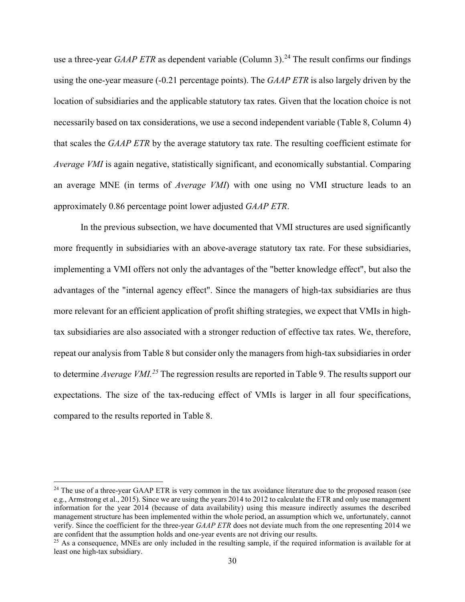use a three-year *GAAP ETR* as dependent variable (Column 3).<sup>[24](#page-30-0)</sup> The result confirms our findings using the one-year measure (-0.21 percentage points). The *GAAP ETR* is also largely driven by the location of subsidiaries and the applicable statutory tax rates. Given that the location choice is not necessarily based on tax considerations, we use a second independent variable (Table 8, Column 4) that scales the *GAAP ETR* by the average statutory tax rate. The resulting coefficient estimate for *Average VMI* is again negative, statistically significant, and economically substantial. Comparing an average MNE (in terms of *Average VMI*) with one using no VMI structure leads to an approximately 0.86 percentage point lower adjusted *GAAP ETR*.

In the previous subsection, we have documented that VMI structures are used significantly more frequently in subsidiaries with an above-average statutory tax rate. For these subsidiaries, implementing a VMI offers not only the advantages of the "better knowledge effect", but also the advantages of the "internal agency effect". Since the managers of high-tax subsidiaries are thus more relevant for an efficient application of profit shifting strategies, we expect that VMIs in hightax subsidiaries are also associated with a stronger reduction of effective tax rates. We, therefore, repeat our analysis from Table 8 but consider only the managers from high-tax subsidiaries in order to determine *Average VMI.[25](#page-30-1)* The regression results are reported in Table 9. The results support our expectations. The size of the tax-reducing effect of VMIs is larger in all four specifications, compared to the results reported in Table 8.

<span id="page-30-0"></span> $24$  The use of a three-year GAAP ETR is very common in the tax avoidance literature due to the proposed reason (see e.g., Armstrong et al., 2015). Since we are using the years 2014 to 2012 to calculate the ETR and only use management information for the year 2014 (because of data availability) using this measure indirectly assumes the described management structure has been implemented within the whole period, an assumption which we, unfortunately, cannot verify. Since the coefficient for the three-year *GAAP ETR* does not deviate much from the one representing 2014 we are confident that the assumption holds and one-year events are not driving our results.

<span id="page-30-1"></span><sup>&</sup>lt;sup>25</sup> As a consequence, MNEs are only included in the resulting sample, if the required information is available for at least one high-tax subsidiary.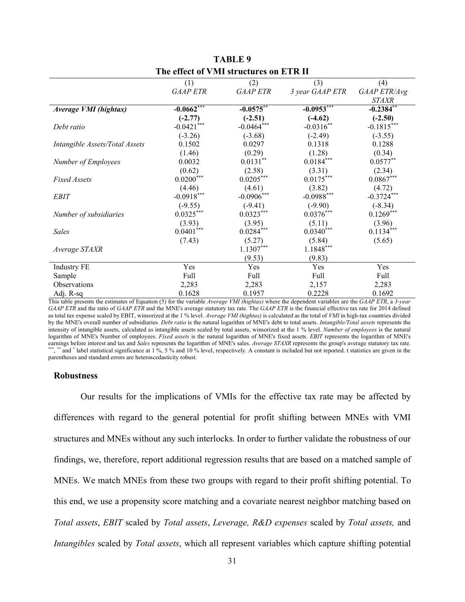|                                | (1)              | (2)              | (3)                     | (4)                     |
|--------------------------------|------------------|------------------|-------------------------|-------------------------|
|                                | <b>GAAP ETR</b>  | <b>GAAP ETR</b>  | 3 year GAAP ETR         | GAAP ETR/Avg            |
|                                |                  |                  |                         | <b>STAXR</b>            |
| Average VMI (hightax)          | $-0.0662$ ***    | $-0.0575***$     | $-0.0953***$            | $-0.2384$ **            |
|                                | $(-2.77)$        | $(-2.51)$        | $(-4.62)$               | $(-2.50)$               |
| Debt ratio                     | $-0.0421***$     | $-0.0464***$     | $-0.0316**$             | $-0.1815***$            |
|                                | $(-3.26)$        | $(-3.68)$        | $(-2.49)$               | $(-3.55)$               |
| Intangible Assets/Total Assets | 0.1502           | 0.0297           | 0.1318                  | 0.1288                  |
|                                | (1.46)           | (0.29)           | (1.28)                  | (0.34)                  |
| Number of Employees            | 0.0032           | $0.0131***$      | $0.0184***$             | $0.0577**$              |
|                                | (0.62)           | (2.58)           | (3.31)                  | (2.34)                  |
| <b>Fixed Assets</b>            | $0.0200^{***}\,$ | $0.0205***$      | $0.0175***$             | $0.0867^{\ast\ast\ast}$ |
|                                | (4.46)           | (4.61)           | (3.82)                  | (4.72)                  |
| <b>EBIT</b>                    | $-0.0918***$     | $-0.0906***$     | $-0.0988***$            | $-0.3724***$            |
|                                | $(-9.55)$        | $(-9.41)$        | $(-9.90)$               | $(-8.34)$               |
| Number of subsidiaries         | $0.0325***$      | $0.0323***$      | $0.0376***$             | $0.1269***$             |
|                                | (3.93)           | (3.95)           | (5.11)                  | (3.96)                  |
| <b>Sales</b>                   | $0.0401***$      | $0.0284^{***}\,$ | $0.0340***$             | $0.1134***$             |
|                                | (7.43)           | (5.27)           | (5.84)                  | (5.65)                  |
| Average STAXR                  |                  | $1.1307***$      | $1.1848^{\ast\ast\ast}$ |                         |
|                                |                  | (9.53)           | (9.83)                  |                         |
| <b>Industry FE</b>             | Yes              | Yes              | Yes                     | Yes                     |
| Sample                         | Full             | Full             | Full                    | Full                    |
| Observations                   | 2,283            | 2,283            | 2,157                   | 2,283                   |
| Adj. R-sq                      | 0.1628           | 0.1957           | 0.2228                  | 0.1692                  |

**TABLE 9 The effect of VMI structures on ETR II**

This table presents the estimates of Equation (5) for the variable *Average VMI (hightax)* where the dependent variables are the *GAAP ETR*, a *3-year GAAP ETR* and the ratio of *GAAP ETR* and the MNE's average statutory tax rate. The *GAAP ETR* is the financial effective tax rate for 2014 defined as total tax expense scaled by EBIT, winsorized at the 1 % level. *Average VMI (hightax)* is calculated as the total of *VMI* in high-tax countries divided by the MNE's overall number of subsidiaries. *Debt ratio* is the natural logarithm of MNE's debt to total assets. *Intangible/Total assets* represents the intensity of intangible assets, calculated as intangible assets scaled by total assets, winsorized at the 1 % level. *Number of employees* is the natural logarithm of MNE's Number of employees. *Fixed assets* is the natural logarithm of MNE's fixed assets. *EBIT* represents the logarithm of MNE's earnings before interest and tax and *Sales* represents the logarithm of MNE's sales. *Average STAXR* represents the group's average statutory tax rate. \*\*\*, and \* label statistical significance at 1 %, 5 % and 10 % level, respectively. A constant is included but not reported. t statistics are given in the parentheses and standard errors are heteroscedasticity robust.

#### **Robustness**

Our results for the implications of VMIs for the effective tax rate may be affected by differences with regard to the general potential for profit shifting between MNEs with VMI structures and MNEs without any such interlocks. In order to further validate the robustness of our findings, we, therefore, report additional regression results that are based on a matched sample of MNEs. We match MNEs from these two groups with regard to their profit shifting potential. To this end, we use a propensity score matching and a covariate nearest neighbor matching based on *Total assets*, *EBIT* scaled by *Total assets*, *Leverage, R&D expenses* scaled by *Total assets,* and *Intangibles* scaled by *Total assets*, which all represent variables which capture shifting potential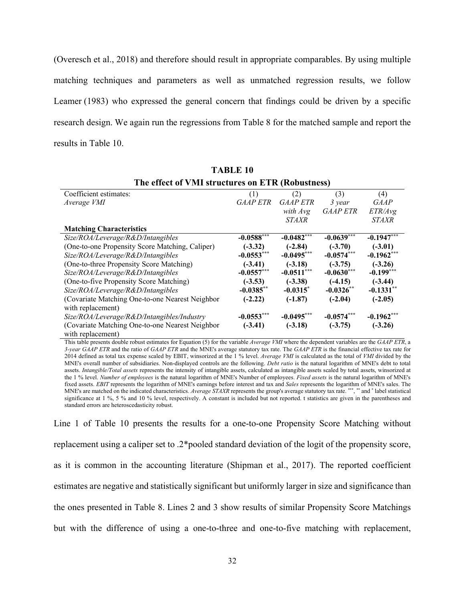(Overesch et al., 2018) and therefore should result in appropriate comparables. By using multiple matching techniques and parameters as well as unmatched regression results, we follow Leamer (1983) who expressed the general concern that findings could be driven by a specific research design. We again run the regressions from Table 8 for the matched sample and report the results in Table 10.

| Coefficient estimates:                          | (1)                      | (2)             | (3)             | (4)          |
|-------------------------------------------------|--------------------------|-----------------|-----------------|--------------|
| Average VMI                                     | <b>GAAP ETR</b>          | <b>GAAP ETR</b> | 3 year          | GAAP         |
|                                                 |                          | with Avg        | <b>GAAP ETR</b> | ETR/Avg      |
|                                                 |                          | <b>STAXR</b>    |                 | <i>STAXR</i> |
| <b>Matching Characteristics</b>                 |                          |                 |                 |              |
| Size/ROA/Leverage/R&D/Intangibles               | $-0.0588$ <sup>***</sup> | $-0.0482***$    | $-0.0639***$    | $-0.1947***$ |
| (One-to-one Propensity Score Matching, Caliper) | $(-3.32)$                | $(-2.84)$       | $(-3.70)$       | $(-3.01)$    |
| Size/ROA/Leverage/R&D/Intangibles               | $-0.0553***$             | $-0.0495***$    | $-0.0574***$    | $-0.1962***$ |
| (One-to-three Propensity Score Matching)        | $(-3.41)$                | $(-3.18)$       | $(-3.75)$       | $(-3.26)$    |
| Size/ROA/Leverage/R&D/Intangibles               | $-0.0557***$             | $-0.0511***$    | $-0.0630***$    | $-0.199***$  |
| (One-to-five Propensity Score Matching)         | $(-3.53)$                | $(-3.38)$       | $(-4.15)$       | $(-3.44)$    |
| Size/ROA/Leverage/R&D/Intangibles               | $-0.0385**$              | $-0.0315^*$     | $-0.0326**$     | $-0.1331**$  |
| (Covariate Matching One-to-one Nearest Neighbor | $(-2.22)$                | $(-1.87)$       | $(-2.04)$       | $(-2.05)$    |
| with replacement)                               |                          |                 |                 |              |
| Size/ROA/Leverage/R&D/Intangibles/Industry      | $-0.0553***$             | $-0.0495***$    | $-0.0574***$    | $-0.1962***$ |
| (Covariate Matching One-to-one Nearest Neighbor | $(-3.41)$                | $(-3.18)$       | $(-3.75)$       | $(-3.26)$    |
| with replacement)                               |                          |                 |                 |              |

**TABLE 10 The effect of VMI structures on ETR (Robustness)**

This table presents double robust estimates for Equation (5) for the variable *Average VMI* where the dependent variables are the *GAAP ETR*, a *3-year GAAP ETR* and the ratio of *GAAP ETR* and the MNE's average statutory tax rate. The *GAAP ETR* is the financial effective tax rate for 2014 defined as total tax expense scaled by EBIT, winsorized at the 1 % level. *Average VMI* is calculated as the total of *VMI* divided by the MNE's overall number of subsidiaries. Non-displayed controls are the following. *Debt ratio* is the natural logarithm of MNE's debt to total assets. *Intangible/Total assets* represents the intensity of intangible assets, calculated as intangible assets scaled by total assets, winsorized at the 1 % level. *Number of employees* is the natural logarithm of MNE's Number of employees. *Fixed assets* is the natural logarithm of MNE's fixed assets. *EBIT* represents the logarithm of MNE's earnings before interest and tax and *Sales* represents the logarithm of MNE's sales. The MNE's are matched on the indicated characteristics. *Average STAXR* represents the group's average statutory tax rate. \*\*\*, \*\* and \* label statistical significance at 1 %, 5 % and 10 % level, respectively. A constant is included but not reported. t statistics are given in the parentheses and standard errors are heteroscedasticity robust.

Line 1 of Table 10 presents the results for a one-to-one Propensity Score Matching without replacement using a caliper set to .2\*pooled standard deviation of the logit of the propensity score, as it is common in the accounting literature (Shipman et al., 2017). The reported coefficient estimates are negative and statistically significant but uniformly larger in size and significance than the ones presented in Table 8. Lines 2 and 3 show results of similar Propensity Score Matchings but with the difference of using a one-to-three and one-to-five matching with replacement,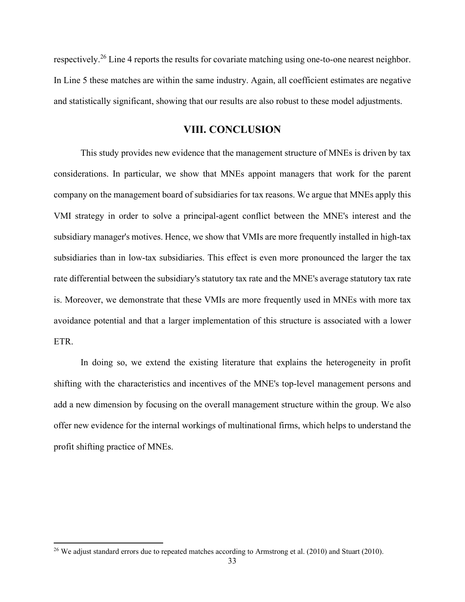respectively.<sup>[26](#page-33-0)</sup> Line 4 reports the results for covariate matching using one-to-one nearest neighbor. In Line 5 these matches are within the same industry. Again, all coefficient estimates are negative and statistically significant, showing that our results are also robust to these model adjustments.

#### **VIII. CONCLUSION**

This study provides new evidence that the management structure of MNEs is driven by tax considerations. In particular, we show that MNEs appoint managers that work for the parent company on the management board of subsidiaries for tax reasons. We argue that MNEs apply this VMI strategy in order to solve a principal-agent conflict between the MNE's interest and the subsidiary manager's motives. Hence, we show that VMIs are more frequently installed in high-tax subsidiaries than in low-tax subsidiaries. This effect is even more pronounced the larger the tax rate differential between the subsidiary's statutory tax rate and the MNE's average statutory tax rate is. Moreover, we demonstrate that these VMIs are more frequently used in MNEs with more tax avoidance potential and that a larger implementation of this structure is associated with a lower ETR.

In doing so, we extend the existing literature that explains the heterogeneity in profit shifting with the characteristics and incentives of the MNE's top-level management persons and add a new dimension by focusing on the overall management structure within the group. We also offer new evidence for the internal workings of multinational firms, which helps to understand the profit shifting practice of MNEs.

<span id="page-33-0"></span><sup>&</sup>lt;sup>26</sup> We adjust standard errors due to repeated matches according to Armstrong et al. (2010) and Stuart (2010).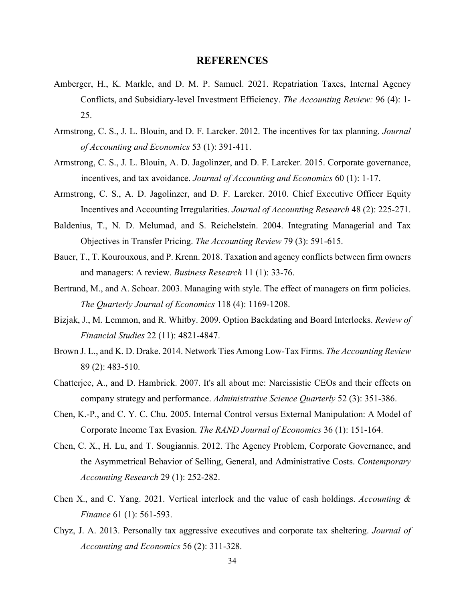## **REFERENCES**

- Amberger, H., K. Markle, and D. M. P. Samuel. 2021. Repatriation Taxes, Internal Agency Conflicts, and Subsidiary-level Investment Efficiency. *The Accounting Review:* 96 (4): 1- 25.
- Armstrong, C. S., J. L. Blouin, and D. F. Larcker. 2012. The incentives for tax planning. *Journal of Accounting and Economics* 53 (1): 391-411.
- Armstrong, C. S., J. L. Blouin, A. D. Jagolinzer, and D. F. Larcker. 2015. Corporate governance, incentives, and tax avoidance. *Journal of Accounting and Economics* 60 (1): 1-17.
- Armstrong, C. S., A. D. Jagolinzer, and D. F. Larcker. 2010. Chief Executive Officer Equity Incentives and Accounting Irregularities. *Journal of Accounting Research* 48 (2): 225-271.
- Baldenius, T., N. D. Melumad, and S. Reichelstein. 2004. Integrating Managerial and Tax Objectives in Transfer Pricing. *The Accounting Review* 79 (3): 591-615.
- Bauer, T., T. Kourouxous, and P. Krenn. 2018. Taxation and agency conflicts between firm owners and managers: A review. *Business Research* 11 (1): 33-76.
- Bertrand, M., and A. Schoar. 2003. Managing with style. The effect of managers on firm policies. *The Quarterly Journal of Economics* 118 (4): 1169-1208.
- Bizjak, J., M. Lemmon, and R. Whitby. 2009. Option Backdating and Board Interlocks. *Review of Financial Studies* 22 (11): 4821-4847.
- Brown J. L., and K. D. Drake. 2014. Network Ties Among Low-Tax Firms. *The Accounting Review* 89 (2): 483-510.
- Chatterjee, A., and D. Hambrick. 2007. It's all about me: Narcissistic CEOs and their effects on company strategy and performance. *Administrative Science Quarterly* 52 (3): 351-386.
- Chen, K.-P., and C. Y. C. Chu. 2005. Internal Control versus External Manipulation: A Model of Corporate Income Tax Evasion. *The RAND Journal of Economics* 36 (1): 151-164.
- Chen, C. X., H. Lu, and T. Sougiannis. 2012. The Agency Problem, Corporate Governance, and the Asymmetrical Behavior of Selling, General, and Administrative Costs. *Contemporary Accounting Research* 29 (1): 252-282.
- Chen X., and C. Yang. 2021. Vertical interlock and the value of cash holdings. *Accounting & Finance* 61 (1): 561-593.
- Chyz, J. A. 2013. Personally tax aggressive executives and corporate tax sheltering. *Journal of Accounting and Economics* 56 (2): 311-328.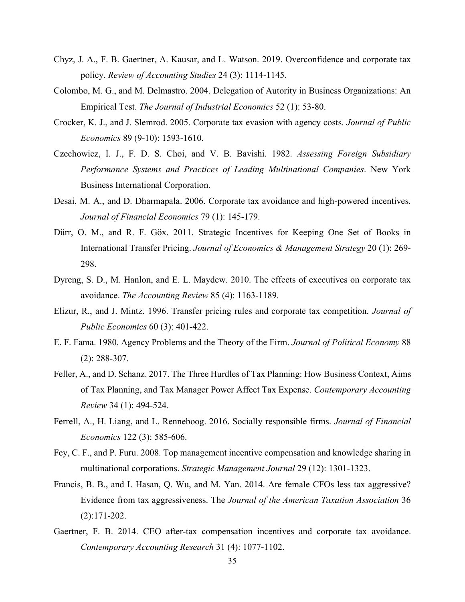- Chyz, J. A., F. B. Gaertner, A. Kausar, and L. Watson. 2019. Overconfidence and corporate tax policy. *Review of Accounting Studies* 24 (3): 1114-1145.
- Colombo, M. G., and M. Delmastro. 2004. Delegation of Autority in Business Organizations: An Empirical Test. *The Journal of Industrial Economics* 52 (1): 53-80.
- Crocker, K. J., and J. Slemrod. 2005. Corporate tax evasion with agency costs. *Journal of Public Economics* 89 (9-10): 1593-1610.
- Czechowicz, I. J., F. D. S. Choi, and V. B. Bavishi. 1982. *Assessing Foreign Subsidiary Performance Systems and Practices of Leading Multinational Companies*. New York Business International Corporation.
- Desai, M. A., and D. Dharmapala. 2006. Corporate tax avoidance and high-powered incentives. *Journal of Financial Economics* 79 (1): 145-179.
- Dürr, O. M., and R. F. Göx. 2011. Strategic Incentives for Keeping One Set of Books in International Transfer Pricing. *Journal of Economics & Management Strategy* 20 (1): 269- 298.
- Dyreng, S. D., M. Hanlon, and E. L. Maydew. 2010. The effects of executives on corporate tax avoidance. *The Accounting Review* 85 (4): 1163-1189.
- Elizur, R., and J. Mintz. 1996. Transfer pricing rules and corporate tax competition. *Journal of Public Economics* 60 (3): 401-422.
- E. F. Fama. 1980. Agency Problems and the Theory of the Firm. *Journal of Political Economy* 88 (2): 288-307.
- Feller, A., and D. Schanz. 2017. The Three Hurdles of Tax Planning: How Business Context, Aims of Tax Planning, and Tax Manager Power Affect Tax Expense. *Contemporary Accounting Review* 34 (1): 494-524.
- Ferrell, A., H. Liang, and L. Renneboog. 2016. Socially responsible firms. *Journal of Financial Economics* 122 (3): 585-606.
- Fey, C. F., and P. Furu. 2008. Top management incentive compensation and knowledge sharing in multinational corporations. *Strategic Management Journal* 29 (12): 1301-1323.
- Francis, B. B., and I. Hasan, Q. Wu, and M. Yan. 2014. Are female CFOs less tax aggressive? Evidence from tax aggressiveness. The *Journal of the American Taxation Association* 36 (2):171-202.
- Gaertner, F. B. 2014. CEO after-tax compensation incentives and corporate tax avoidance. *Contemporary Accounting Research* 31 (4): 1077-1102.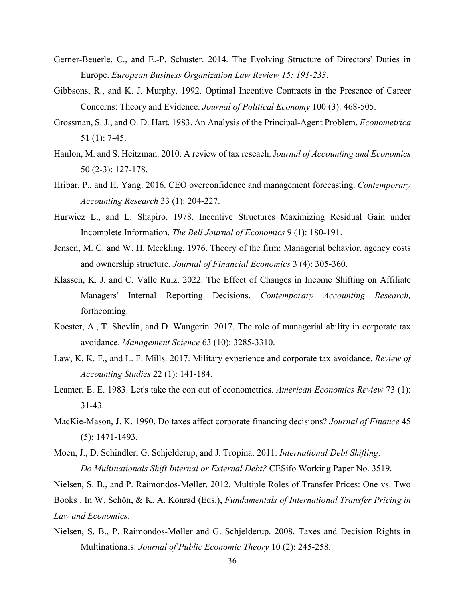- Gerner-Beuerle, C., and E.-P. Schuster. 2014. The Evolving Structure of Directors' Duties in Europe. *European Business Organization Law Review 15: 191-233*.
- Gibbsons, R., and K. J. Murphy. 1992. Optimal Incentive Contracts in the Presence of Career Concerns: Theory and Evidence. *Journal of Political Economy* 100 (3): 468-505.
- Grossman, S. J., and O. D. Hart. 1983. An Analysis of the Principal-Agent Problem. *Econometrica* 51 (1): 7-45.
- Hanlon, M. and S. Heitzman. 2010. A review of tax reseach. J*ournal of Accounting and Economics* 50 (2-3): 127-178.
- Hribar, P., and H. Yang. 2016. CEO overconfidence and management forecasting. *Contemporary Accounting Research* 33 (1): 204-227.
- Hurwicz L., and L. Shapiro. 1978. Incentive Structures Maximizing Residual Gain under Incomplete Information. *The Bell Journal of Economics* 9 (1): 180-191.
- Jensen, M. C. and W. H. Meckling. 1976. Theory of the firm: Managerial behavior, agency costs and ownership structure. *Journal of Financial Economics* 3 (4): 305-360.
- Klassen, K. J. and C. Valle Ruiz. 2022. The Effect of Changes in Income Shifting on Affiliate Managers' Internal Reporting Decisions. *Contemporary Accounting Research,*  forthcoming.
- Koester, A., T. Shevlin, and D. Wangerin. 2017. The role of managerial ability in corporate tax avoidance. *Management Science* 63 (10): 3285-3310.
- Law, K. K. F., and L. F. Mills. 2017. Military experience and corporate tax avoidance. *Review of Accounting Studies* 22 (1): 141-184.
- Leamer, E. E. 1983. Let's take the con out of econometrics. *American Economics Review* 73 (1): 31-43.
- MacKie-Mason, J. K. 1990. Do taxes affect corporate financing decisions? *Journal of Finance* 45 (5): 1471-1493.
- Moen, J., D. Schindler, G. Schjelderup, and J. Tropina. 2011. *International Debt Shifting: Do Multinationals Shift Internal or External Debt?* CESifo Working Paper No. 3519.

Nielsen, S. B., and P. Raimondos-Møller. 2012. Multiple Roles of Transfer Prices: One vs. Two Books . In W. Schön, & K. A. Konrad (Eds.), *Fundamentals of International Transfer Pricing in Law and Economics*.

Nielsen, S. B., P. Raimondos-Møller and G. Schjelderup. 2008. Taxes and Decision Rights in Multinationals. *Journal of Public Economic Theory* 10 (2): 245-258.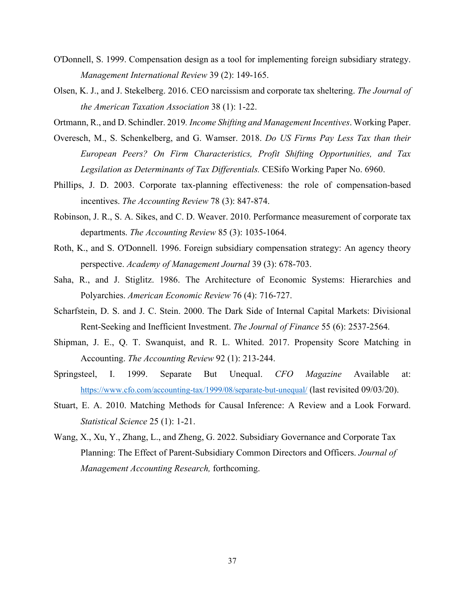- O'Donnell, S. 1999. Compensation design as a tool for implementing foreign subsidiary strategy. *Management International Review* 39 (2): 149-165.
- Olsen, K. J., and J. Stekelberg. 2016. CEO narcissism and corporate tax sheltering. *The Journal of the American Taxation Association* 38 (1): 1-22.
- Ortmann, R., and D. Schindler. 2019*. Income Shifting and Management Incentives*. Working Paper.
- Overesch, M., S. Schenkelberg, and G. Wamser. 2018. *Do US Firms Pay Less Tax than their European Peers? On Firm Characteristics, Profit Shifting Opportunities, and Tax Legsilation as Determinants of Tax Differentials.* CESifo Working Paper No. 6960.
- Phillips, J. D. 2003. Corporate tax-planning effectiveness: the role of compensation-based incentives. *The Accounting Review* 78 (3): 847-874.
- Robinson, J. R., S. A. Sikes, and C. D. Weaver. 2010. Performance measurement of corporate tax departments. *The Accounting Review* 85 (3): 1035-1064.
- Roth, K., and S. O'Donnell. 1996. Foreign subsidiary compensation strategy: An agency theory perspective. *Academy of Management Journal* 39 (3): 678-703.
- Saha, R., and J. Stiglitz. 1986. The Architecture of Economic Systems: Hierarchies and Polyarchies. *American Economic Review* 76 (4): 716-727.
- Scharfstein, D. S. and J. C. Stein. 2000. The Dark Side of Internal Capital Markets: Divisional Rent-Seeking and Inefficient Investment. *The Journal of Finance* 55 (6): 2537-2564.
- Shipman, J. E., Q. T. Swanquist, and R. L. Whited. 2017. Propensity Score Matching in Accounting. *The Accounting Review* 92 (1): 213-244.
- Springsteel, I. 1999. Separate But Unequal. *CFO Magazine* Available at: <https://www.cfo.com/accounting-tax/1999/08/separate-but-unequal/> (last revisited 09/03/20).
- Stuart, E. A. 2010. Matching Methods for Causal Inference: A Review and a Look Forward. *Statistical Science* 25 (1): 1-21.
- Wang, X., Xu, Y., Zhang, L., and Zheng, G. 2022. Subsidiary Governance and Corporate Tax Planning: The Effect of Parent-Subsidiary Common Directors and Officers. *Journal of Management Accounting Research,* forthcoming.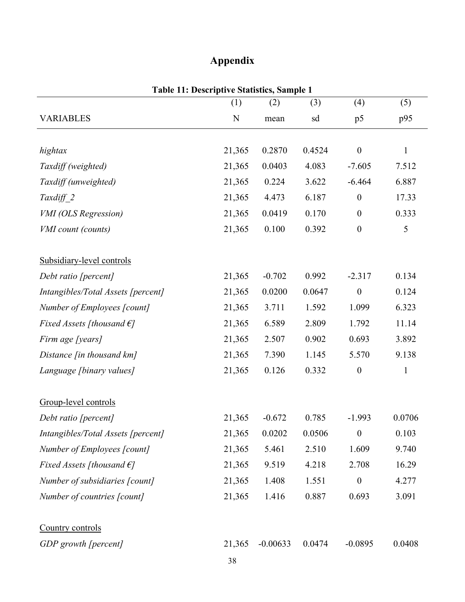# **Appendix**

|                                     | Table 11: Descriptive Statistics, Sample 1 |            |        |                  |              |
|-------------------------------------|--------------------------------------------|------------|--------|------------------|--------------|
|                                     | (1)                                        | (2)        | (3)    | (4)              | (5)          |
| <b>VARIABLES</b>                    | N                                          | mean       | sd     | p5               | p95          |
| hightax                             | 21,365                                     | 0.2870     | 0.4524 | $\boldsymbol{0}$ | $\mathbf{1}$ |
|                                     | 21,365                                     | 0.0403     | 4.083  | $-7.605$         | 7.512        |
| Taxdiff (weighted)                  |                                            |            |        |                  | 6.887        |
| Taxdiff (unweighted)                | 21,365                                     | 0.224      | 3.622  | $-6.464$         |              |
| $Taxdiff_2$                         | 21,365                                     | 4.473      | 6.187  | $\boldsymbol{0}$ | 17.33        |
| <b>VMI</b> (OLS Regression)         | 21,365                                     | 0.0419     | 0.170  | $\boldsymbol{0}$ | 0.333        |
| VMI count (counts)                  | 21,365                                     | 0.100      | 0.392  | $\boldsymbol{0}$ | 5            |
| Subsidiary-level controls           |                                            |            |        |                  |              |
| Debt ratio [percent]                | 21,365                                     | $-0.702$   | 0.992  | $-2.317$         | 0.134        |
| Intangibles/Total Assets [percent]  | 21,365                                     | 0.0200     | 0.0647 | $\boldsymbol{0}$ | 0.124        |
| Number of Employees [count]         | 21,365                                     | 3.711      | 1.592  | 1.099            | 6.323        |
| Fixed Assets [thousand $\epsilon$ ] | 21,365                                     | 6.589      | 2.809  | 1.792            | 11.14        |
| Firm age [years]                    | 21,365                                     | 2.507      | 0.902  | 0.693            | 3.892        |
| Distance [in thousand km]           | 21,365                                     | 7.390      | 1.145  | 5.570            | 9.138        |
| Language [binary values]            | 21,365                                     | 0.126      | 0.332  | $\boldsymbol{0}$ | $\mathbf{1}$ |
| Group-level controls                |                                            |            |        |                  |              |
| Debt ratio [percent]                | 21,365                                     | $-0.672$   | 0.785  | $-1.993$         | 0.0706       |
| Intangibles/Total Assets [percent]  | 21,365                                     | 0.0202     | 0.0506 | $\boldsymbol{0}$ | 0.103        |
| Number of Employees [count]         | 21,365                                     | 5.461      | 2.510  | 1.609            | 9.740        |
| Fixed Assets [thousand $\epsilon$ ] | 21,365                                     | 9.519      | 4.218  | 2.708            | 16.29        |
| Number of subsidiaries [count]      | 21,365                                     | 1.408      | 1.551  | $\boldsymbol{0}$ | 4.277        |
| Number of countries [count]         | 21,365                                     | 1.416      | 0.887  | 0.693            | 3.091        |
| Country controls                    |                                            |            |        |                  |              |
| GDP growth [percent]                | 21,365                                     | $-0.00633$ | 0.0474 | $-0.0895$        | 0.0408       |
|                                     | 38                                         |            |        |                  |              |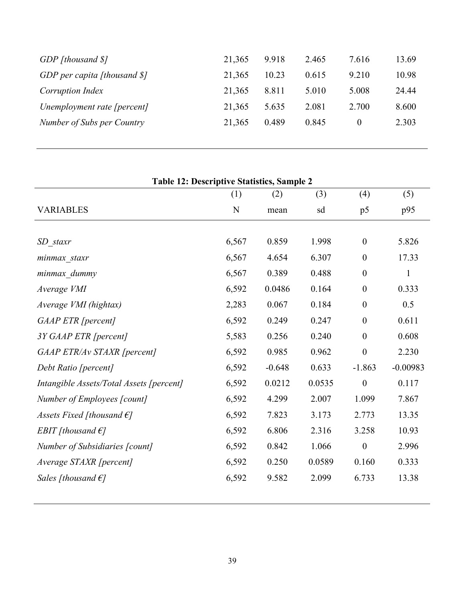| GDP [thousand \$]               | 21,365 | 9.918 | 2.465 | 7.616 | 13.69 |
|---------------------------------|--------|-------|-------|-------|-------|
| GDP per capita [thousand $\S$ ] | 21,365 | 10.23 | 0.615 | 9.210 | 10.98 |
| Corruption Index                | 21,365 | 8.811 | 5.010 | 5.008 | 24.44 |
| Unemployment rate [percent]     | 21,365 | 5.635 | 2.081 | 2.700 | 8.600 |
| Number of Subs per Country      | 21,365 | 0.489 | 0.845 |       | 2.303 |
|                                 |        |       |       |       |       |

| <b>Table 12: Descriptive Statistics, Sample 2</b> |       |          |        |                  |              |  |  |  |  |  |
|---------------------------------------------------|-------|----------|--------|------------------|--------------|--|--|--|--|--|
|                                                   | (1)   | (2)      | (3)    | (4)              | (5)          |  |  |  |  |  |
| <b>VARIABLES</b>                                  | N     | mean     | sd     | p5               | p95          |  |  |  |  |  |
|                                                   |       |          |        |                  |              |  |  |  |  |  |
| SD staxr                                          | 6,567 | 0.859    | 1.998  | $\boldsymbol{0}$ | 5.826        |  |  |  |  |  |
| minmax staxr                                      | 6,567 | 4.654    | 6.307  | $\boldsymbol{0}$ | 17.33        |  |  |  |  |  |
| minmax_dummy                                      | 6,567 | 0.389    | 0.488  | $\theta$         | $\mathbf{1}$ |  |  |  |  |  |
| Average VMI                                       | 6,592 | 0.0486   | 0.164  | $\boldsymbol{0}$ | 0.333        |  |  |  |  |  |
| Average VMI (hightax)                             | 2,283 | 0.067    | 0.184  | $\overline{0}$   | 0.5          |  |  |  |  |  |
| GAAP ETR [percent]                                | 6,592 | 0.249    | 0.247  | $\boldsymbol{0}$ | 0.611        |  |  |  |  |  |
| 3Y GAAP ETR [percent]                             | 5,583 | 0.256    | 0.240  | $\boldsymbol{0}$ | 0.608        |  |  |  |  |  |
| GAAP ETR/Av STAXR [percent]                       | 6,592 | 0.985    | 0.962  | $\boldsymbol{0}$ | 2.230        |  |  |  |  |  |
| Debt Ratio [percent]                              | 6,592 | $-0.648$ | 0.633  | $-1.863$         | $-0.00983$   |  |  |  |  |  |
| Intangible Assets/Total Assets [percent]          | 6,592 | 0.0212   | 0.0535 | $\boldsymbol{0}$ | 0.117        |  |  |  |  |  |
| Number of Employees [count]                       | 6,592 | 4.299    | 2.007  | 1.099            | 7.867        |  |  |  |  |  |
| Assets Fixed [thousand $\epsilon$ ]               | 6,592 | 7.823    | 3.173  | 2.773            | 13.35        |  |  |  |  |  |
| EBIT [thousand $\epsilon$ ]                       | 6,592 | 6.806    | 2.316  | 3.258            | 10.93        |  |  |  |  |  |
| Number of Subsidiaries [count]                    | 6,592 | 0.842    | 1.066  | $\boldsymbol{0}$ | 2.996        |  |  |  |  |  |
| Average STAXR [percent]                           | 6,592 | 0.250    | 0.0589 | 0.160            | 0.333        |  |  |  |  |  |
| Sales [thousand $\epsilon$ ]                      | 6,592 | 9.582    | 2.099  | 6.733            | 13.38        |  |  |  |  |  |
|                                                   |       |          |        |                  |              |  |  |  |  |  |